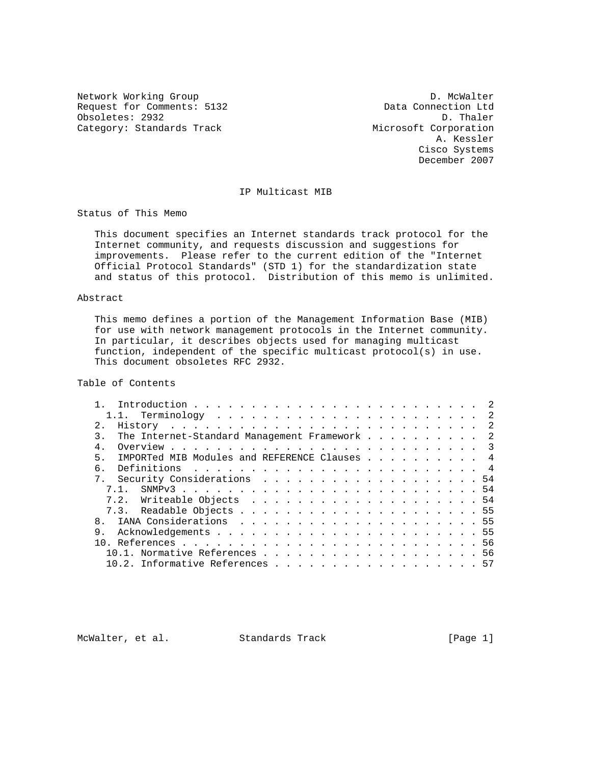Request for Comments: 5132 Data Connection Ltd Obsoletes: 2932 Obsoletes: 2932 D. Thaler<br>Category: Standards Track Microsoft Corporation Category: Standards Track

Network Working Group D. McWalter A. Kessler Cisco Systems December 2007

# IP Multicast MIB

Status of This Memo

 This document specifies an Internet standards track protocol for the Internet community, and requests discussion and suggestions for improvements. Please refer to the current edition of the "Internet Official Protocol Standards" (STD 1) for the standardization state and status of this protocol. Distribution of this memo is unlimited.

### Abstract

 This memo defines a portion of the Management Information Base (MIB) for use with network management protocols in the Internet community. In particular, it describes objects used for managing multicast function, independent of the specific multicast protocol(s) in use. This document obsoletes RFC 2932.

Table of Contents

| $2^{\circ}$                                                   |  |  |  |  |  |  |
|---------------------------------------------------------------|--|--|--|--|--|--|
| The Internet-Standard Management Framework 2<br>$\mathcal{R}$ |  |  |  |  |  |  |
|                                                               |  |  |  |  |  |  |
| IMPORTed MIB Modules and REFERENCE Clauses 4<br>$5 -$         |  |  |  |  |  |  |
| б.                                                            |  |  |  |  |  |  |
| 7. Security Considerations 54                                 |  |  |  |  |  |  |
|                                                               |  |  |  |  |  |  |
|                                                               |  |  |  |  |  |  |
|                                                               |  |  |  |  |  |  |
|                                                               |  |  |  |  |  |  |
| 9.                                                            |  |  |  |  |  |  |
|                                                               |  |  |  |  |  |  |
| 10.1. Normative References 56                                 |  |  |  |  |  |  |
| $10.2$ . Informative References 57                            |  |  |  |  |  |  |

McWalter, et al. Standards Track [Page 1]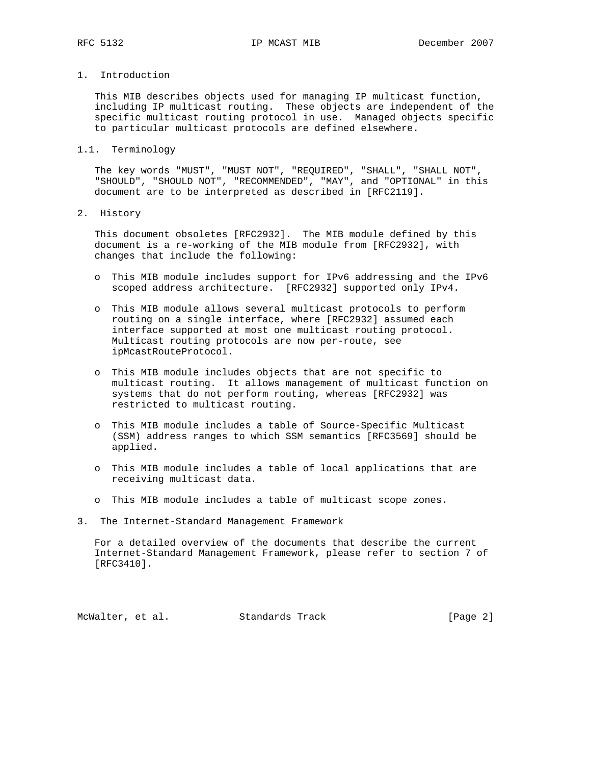# 1. Introduction

 This MIB describes objects used for managing IP multicast function, including IP multicast routing. These objects are independent of the specific multicast routing protocol in use. Managed objects specific to particular multicast protocols are defined elsewhere.

1.1. Terminology

 The key words "MUST", "MUST NOT", "REQUIRED", "SHALL", "SHALL NOT", "SHOULD", "SHOULD NOT", "RECOMMENDED", "MAY", and "OPTIONAL" in this document are to be interpreted as described in [RFC2119].

2. History

 This document obsoletes [RFC2932]. The MIB module defined by this document is a re-working of the MIB module from [RFC2932], with changes that include the following:

- o This MIB module includes support for IPv6 addressing and the IPv6 scoped address architecture. [RFC2932] supported only IPv4.
- o This MIB module allows several multicast protocols to perform routing on a single interface, where [RFC2932] assumed each interface supported at most one multicast routing protocol. Multicast routing protocols are now per-route, see ipMcastRouteProtocol.
- o This MIB module includes objects that are not specific to multicast routing. It allows management of multicast function on systems that do not perform routing, whereas [RFC2932] was restricted to multicast routing.
- o This MIB module includes a table of Source-Specific Multicast (SSM) address ranges to which SSM semantics [RFC3569] should be applied.
- o This MIB module includes a table of local applications that are receiving multicast data.
- o This MIB module includes a table of multicast scope zones.
- 3. The Internet-Standard Management Framework

 For a detailed overview of the documents that describe the current Internet-Standard Management Framework, please refer to section 7 of [RFC3410].

McWalter, et al. Standards Track [Page 2]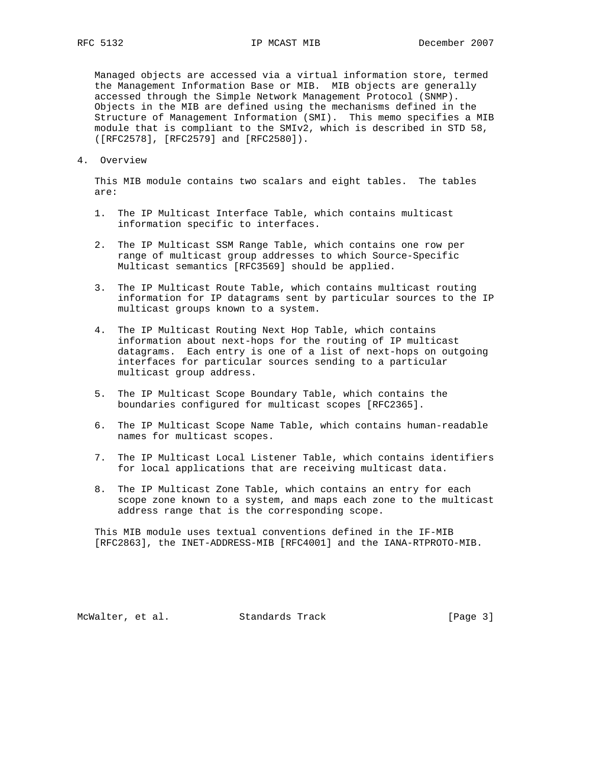Managed objects are accessed via a virtual information store, termed the Management Information Base or MIB. MIB objects are generally accessed through the Simple Network Management Protocol (SNMP). Objects in the MIB are defined using the mechanisms defined in the Structure of Management Information (SMI). This memo specifies a MIB module that is compliant to the SMIv2, which is described in STD 58, ([RFC2578], [RFC2579] and [RFC2580]).

4. Overview

 This MIB module contains two scalars and eight tables. The tables are:

- 1. The IP Multicast Interface Table, which contains multicast information specific to interfaces.
- 2. The IP Multicast SSM Range Table, which contains one row per range of multicast group addresses to which Source-Specific Multicast semantics [RFC3569] should be applied.
- 3. The IP Multicast Route Table, which contains multicast routing information for IP datagrams sent by particular sources to the IP multicast groups known to a system.
- 4. The IP Multicast Routing Next Hop Table, which contains information about next-hops for the routing of IP multicast datagrams. Each entry is one of a list of next-hops on outgoing interfaces for particular sources sending to a particular multicast group address.
- 5. The IP Multicast Scope Boundary Table, which contains the boundaries configured for multicast scopes [RFC2365].
- 6. The IP Multicast Scope Name Table, which contains human-readable names for multicast scopes.
- 7. The IP Multicast Local Listener Table, which contains identifiers for local applications that are receiving multicast data.
- 8. The IP Multicast Zone Table, which contains an entry for each scope zone known to a system, and maps each zone to the multicast address range that is the corresponding scope.

 This MIB module uses textual conventions defined in the IF-MIB [RFC2863], the INET-ADDRESS-MIB [RFC4001] and the IANA-RTPROTO-MIB.

McWalter, et al. Standards Track [Page 3]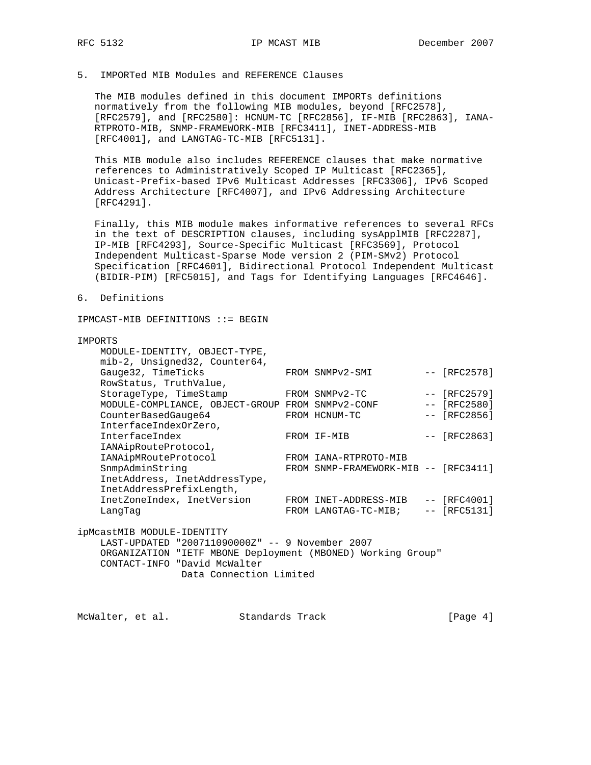# 5. IMPORTed MIB Modules and REFERENCE Clauses

 The MIB modules defined in this document IMPORTs definitions normatively from the following MIB modules, beyond [RFC2578], [RFC2579], and [RFC2580]: HCNUM-TC [RFC2856], IF-MIB [RFC2863], IANA- RTPROTO-MIB, SNMP-FRAMEWORK-MIB [RFC3411], INET-ADDRESS-MIB [RFC4001], and LANGTAG-TC-MIB [RFC5131].

 This MIB module also includes REFERENCE clauses that make normative references to Administratively Scoped IP Multicast [RFC2365], Unicast-Prefix-based IPv6 Multicast Addresses [RFC3306], IPv6 Scoped Address Architecture [RFC4007], and IPv6 Addressing Architecture [RFC4291].

 Finally, this MIB module makes informative references to several RFCs in the text of DESCRIPTION clauses, including sysApplMIB [RFC2287], IP-MIB [RFC4293], Source-Specific Multicast [RFC3569], Protocol Independent Multicast-Sparse Mode version 2 (PIM-SMv2) Protocol Specification [RFC4601], Bidirectional Protocol Independent Multicast (BIDIR-PIM) [RFC5015], and Tags for Identifying Languages [RFC4646].

### 6. Definitions

IPMCAST-MIB DEFINITIONS ::= BEGIN

### IMPORTS

|  | MODULE-IDENTITY, OBJECT-TYPE,<br>mib-2, Unsigned32, Counter64, |  |                                      |  |                |  |  |  |  |
|--|----------------------------------------------------------------|--|--------------------------------------|--|----------------|--|--|--|--|
|  | Gauge32, TimeTicks                                             |  | FROM SNMPv2-SMI                      |  | $-- [RFC2578]$ |  |  |  |  |
|  | RowStatus, TruthValue,                                         |  |                                      |  |                |  |  |  |  |
|  | StorageType, TimeStamp                                         |  | FROM SNMPv2-TC                       |  | $-- [RFC2579]$ |  |  |  |  |
|  | MODULE-COMPLIANCE, OBJECT-GROUP FROM SNMPv2-CONF               |  |                                      |  | $-- [RFC2580]$ |  |  |  |  |
|  | CounterBasedGauge64                                            |  | FROM HCNUM-TC                        |  | $-- [RFC2856]$ |  |  |  |  |
|  | InterfaceIndexOrZero,                                          |  |                                      |  |                |  |  |  |  |
|  | InterfaceIndex                                                 |  | FROM IF-MIB                          |  | $-- [RFC2863]$ |  |  |  |  |
|  | IANAipRouteProtocol,                                           |  |                                      |  |                |  |  |  |  |
|  | IANAipMRouteProtocol                                           |  | FROM IANA-RTPROTO-MIB                |  |                |  |  |  |  |
|  | SnmpAdminString                                                |  | FROM SNMP-FRAMEWORK-MIB -- [RFC3411] |  |                |  |  |  |  |
|  | InetAddress, InetAddressType,                                  |  |                                      |  |                |  |  |  |  |
|  | InetAddressPrefixLength,                                       |  |                                      |  |                |  |  |  |  |
|  | InetZoneIndex, InetVersion                                     |  | FROM INET-ADDRESS-MIB                |  | $-- [RFC4001]$ |  |  |  |  |
|  | LangTag                                                        |  | FROM LANGTAG-TC-MIB;                 |  | $-- [RFC5131]$ |  |  |  |  |
|  | ipMcastMIB MODULE-IDENTITY                                     |  |                                      |  |                |  |  |  |  |
|  | LAST-UPDATED "200711090000Z" -- 9 November 2007                |  |                                      |  |                |  |  |  |  |
|  | ORGANIZATION "IETF MBONE Deployment (MBONED) Working Group"    |  |                                      |  |                |  |  |  |  |
|  |                                                                |  |                                      |  |                |  |  |  |  |

CONTACT-INFO "David McWalter

```
 Data Connection Limited
```
McWalter, et al. Standards Track [Page 4]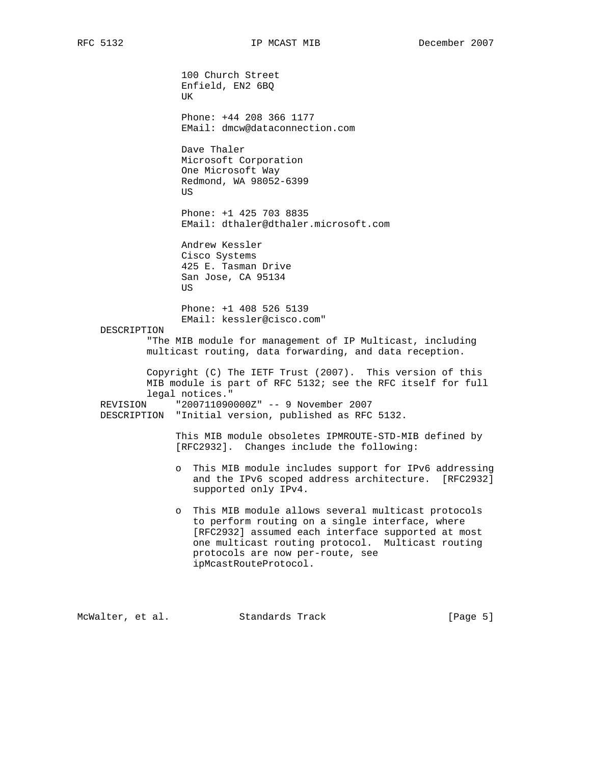100 Church Street Enfield, EN2 6BQ UK Phone: +44 208 366 1177 EMail: dmcw@dataconnection.com Dave Thaler Microsoft Corporation One Microsoft Way Redmond, WA 98052-6399 **US**  Phone: +1 425 703 8835 EMail: dthaler@dthaler.microsoft.com Andrew Kessler Cisco Systems 425 E. Tasman Drive San Jose, CA 95134 US Phone: +1 408 526 5139 EMail: kessler@cisco.com" DESCRIPTION "The MIB module for management of IP Multicast, including multicast routing, data forwarding, and data reception. Copyright (C) The IETF Trust (2007). This version of this MIB module is part of RFC 5132; see the RFC itself for full legal notices." REVISION "200711090000Z" -- 9 November 2007 DESCRIPTION "Initial version, published as RFC 5132. This MIB module obsoletes IPMROUTE-STD-MIB defined by [RFC2932]. Changes include the following: o This MIB module includes support for IPv6 addressing and the IPv6 scoped address architecture. [RFC2932] supported only IPv4. o This MIB module allows several multicast protocols to perform routing on a single interface, where [RFC2932] assumed each interface supported at most one multicast routing protocol. Multicast routing protocols are now per-route, see ipMcastRouteProtocol.

McWalter, et al. Standards Track [Page 5]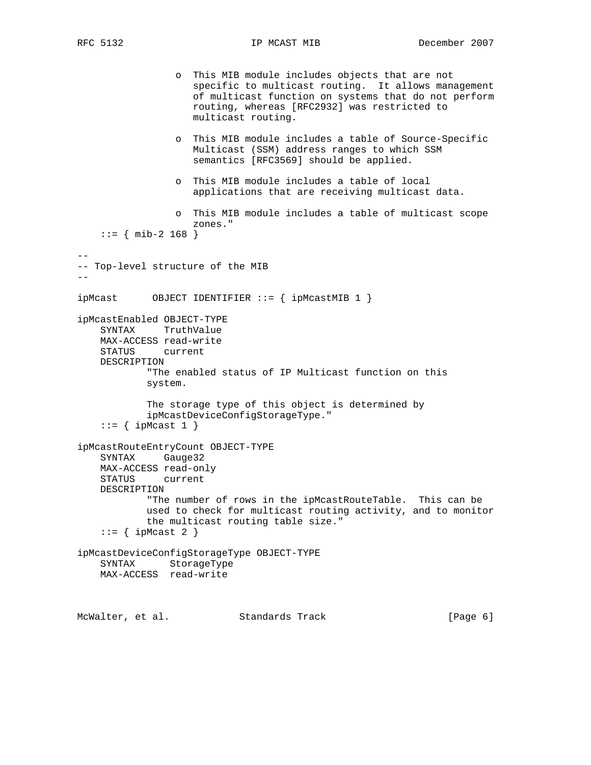o This MIB module includes objects that are not specific to multicast routing. It allows management of multicast function on systems that do not perform routing, whereas [RFC2932] was restricted to multicast routing. o This MIB module includes a table of Source-Specific Multicast (SSM) address ranges to which SSM semantics [RFC3569] should be applied. o This MIB module includes a table of local applications that are receiving multicast data. o This MIB module includes a table of multicast scope zones."  $::=$  { mib-2 168 } -- -- Top-level structure of the MIB  $-$ ipMcast OBJECT IDENTIFIER ::= { ipMcastMIB 1 } ipMcastEnabled OBJECT-TYPE SYNTAX TruthValue MAX-ACCESS read-write STATUS current DESCRIPTION "The enabled status of IP Multicast function on this system. The storage type of this object is determined by ipMcastDeviceConfigStorageType."  $::=$  { ipMcast 1 } ipMcastRouteEntryCount OBJECT-TYPE SYNTAX Gauge32 MAX-ACCESS read-only STATUS current DESCRIPTION "The number of rows in the ipMcastRouteTable. This can be used to check for multicast routing activity, and to monitor the multicast routing table size."  $::=$  { ipMcast 2 } ipMcastDeviceConfigStorageType OBJECT-TYPE SYNTAX StorageType MAX-ACCESS read-write

McWalter, et al. Standards Track [Page 6]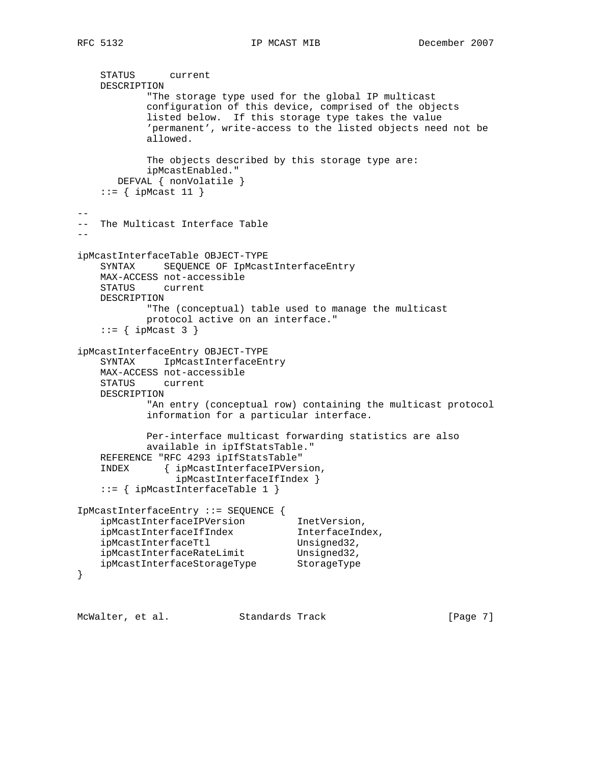```
 STATUS current
    DESCRIPTION
            "The storage type used for the global IP multicast
            configuration of this device, comprised of the objects
            listed below. If this storage type takes the value
            'permanent', write-access to the listed objects need not be
            allowed.
            The objects described by this storage type are:
            ipMcastEnabled."
       DEFVAL { nonVolatile }
    ::= { ipMcast 11 }
--
-- The Multicast Interface Table
--
ipMcastInterfaceTable OBJECT-TYPE
    SYNTAX SEQUENCE OF IpMcastInterfaceEntry
    MAX-ACCESS not-accessible
    STATUS current
    DESCRIPTION
            "The (conceptual) table used to manage the multicast
            protocol active on an interface."
    ::= { ipMcast 3 }
ipMcastInterfaceEntry OBJECT-TYPE
    SYNTAX IpMcastInterfaceEntry
    MAX-ACCESS not-accessible
    STATUS current
    DESCRIPTION
            "An entry (conceptual row) containing the multicast protocol
            information for a particular interface.
            Per-interface multicast forwarding statistics are also
            available in ipIfStatsTable."
    REFERENCE "RFC 4293 ipIfStatsTable"
     INDEX { ipMcastInterfaceIPVersion,
                 ipMcastInterfaceIfIndex }
     ::= { ipMcastInterfaceTable 1 }
IpMcastInterfaceEntry ::= SEQUENCE {
ipMcastInterfaceIPVersion InetVersion,
 ipMcastInterfaceIfIndex InterfaceIndex,
ipMcastInterfaceTtl Unsigned32,
ipMcastInterfaceRateLimit Unsigned32,
 ipMcastInterfaceStorageType StorageType
}
```
McWalter, et al. Standards Track [Page 7]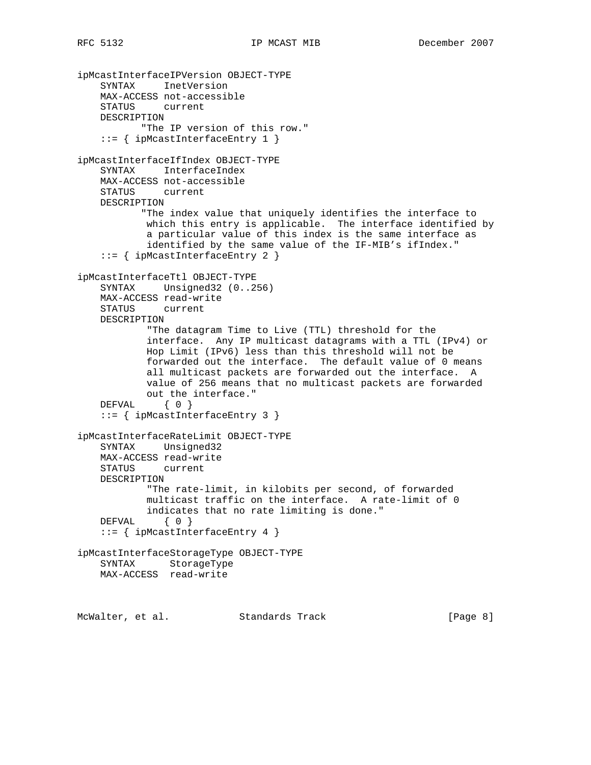ipMcastInterfaceIPVersion OBJECT-TYPE SYNTAX InetVersion MAX-ACCESS not-accessible STATUS current DESCRIPTION "The IP version of this row." ::= { ipMcastInterfaceEntry 1 } ipMcastInterfaceIfIndex OBJECT-TYPE SYNTAX InterfaceIndex MAX-ACCESS not-accessible STATUS current DESCRIPTION "The index value that uniquely identifies the interface to which this entry is applicable. The interface identified by a particular value of this index is the same interface as identified by the same value of the IF-MIB's ifIndex." ::= { ipMcastInterfaceEntry 2 } ipMcastInterfaceTtl OBJECT-TYPE SYNTAX Unsigned32 (0..256) MAX-ACCESS read-write STATUS current DESCRIPTION "The datagram Time to Live (TTL) threshold for the interface. Any IP multicast datagrams with a TTL (IPv4) or Hop Limit (IPv6) less than this threshold will not be forwarded out the interface. The default value of 0 means all multicast packets are forwarded out the interface. A value of 256 means that no multicast packets are forwarded out the interface." DEFVAL { 0 } ::= { ipMcastInterfaceEntry 3 } ipMcastInterfaceRateLimit OBJECT-TYPE SYNTAX Unsigned32 MAX-ACCESS read-write STATUS current DESCRIPTION "The rate-limit, in kilobits per second, of forwarded multicast traffic on the interface. A rate-limit of 0 indicates that no rate limiting is done." DEFVAL { 0 } ::= { ipMcastInterfaceEntry 4 } ipMcastInterfaceStorageType OBJECT-TYPE SYNTAX StorageType MAX-ACCESS read-write

McWalter, et al. Standards Track [Page 8]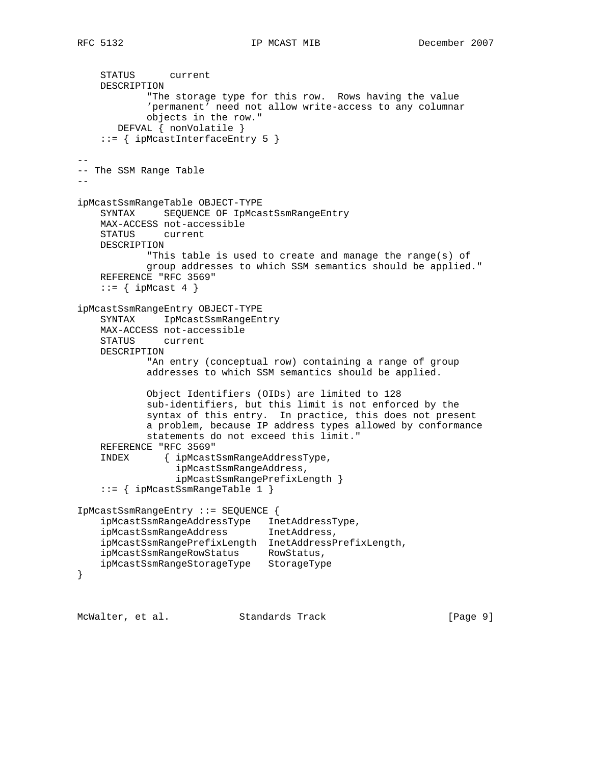```
 STATUS current
    DESCRIPTION
             "The storage type for this row. Rows having the value
             'permanent' need not allow write-access to any columnar
            objects in the row."
       DEFVAL { nonVolatile }
     ::= { ipMcastInterfaceEntry 5 }
--
-- The SSM Range Table
- -ipMcastSsmRangeTable OBJECT-TYPE
     SYNTAX SEQUENCE OF IpMcastSsmRangeEntry
    MAX-ACCESS not-accessible
     STATUS current
    DESCRIPTION
            "This table is used to create and manage the range(s) of
            group addresses to which SSM semantics should be applied."
    REFERENCE "RFC 3569"
   ::= { ipMcast 4 }
ipMcastSsmRangeEntry OBJECT-TYPE
     SYNTAX IpMcastSsmRangeEntry
    MAX-ACCESS not-accessible
    STATUS current
    DESCRIPTION
             "An entry (conceptual row) containing a range of group
             addresses to which SSM semantics should be applied.
             Object Identifiers (OIDs) are limited to 128
             sub-identifiers, but this limit is not enforced by the
             syntax of this entry. In practice, this does not present
             a problem, because IP address types allowed by conformance
            statements do not exceed this limit."
     REFERENCE "RFC 3569"
     INDEX { ipMcastSsmRangeAddressType,
                  ipMcastSsmRangeAddress,
                  ipMcastSsmRangePrefixLength }
     ::= { ipMcastSsmRangeTable 1 }
IpMcastSsmRangeEntry ::= SEQUENCE {
     ipMcastSsmRangeAddressType InetAddressType,
     ipMcastSsmRangeAddress InetAddress,
     ipMcastSsmRangePrefixLength InetAddressPrefixLength,
     ipMcastSsmRangeRowStatus RowStatus,
     ipMcastSsmRangeStorageType StorageType
}
```
McWalter, et al. Standards Track [Page 9]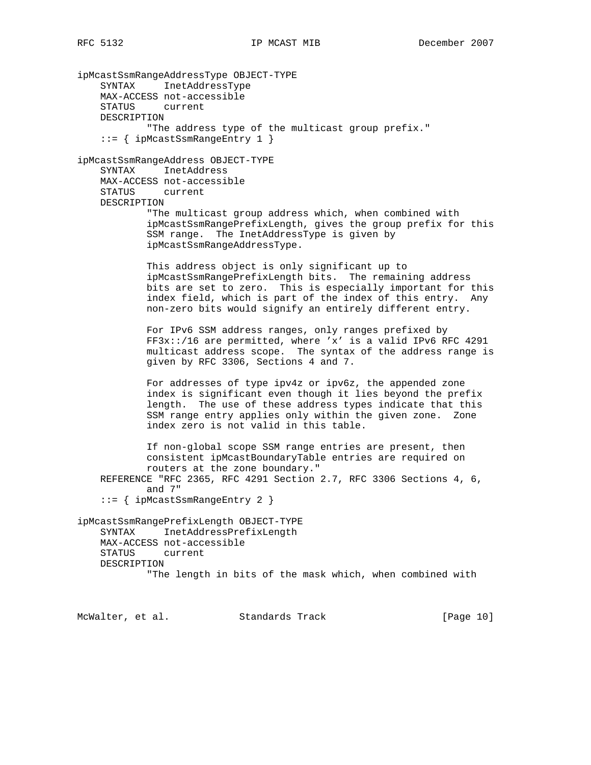ipMcastSsmRangeAddressType OBJECT-TYPE SYNTAX InetAddressType MAX-ACCESS not-accessible STATUS current DESCRIPTION "The address type of the multicast group prefix." ::= { ipMcastSsmRangeEntry 1 } ipMcastSsmRangeAddress OBJECT-TYPE SYNTAX InetAddress MAX-ACCESS not-accessible STATUS current DESCRIPTION "The multicast group address which, when combined with ipMcastSsmRangePrefixLength, gives the group prefix for this SSM range. The InetAddressType is given by ipMcastSsmRangeAddressType. This address object is only significant up to ipMcastSsmRangePrefixLength bits. The remaining address bits are set to zero. This is especially important for this index field, which is part of the index of this entry. Any non-zero bits would signify an entirely different entry. For IPv6 SSM address ranges, only ranges prefixed by FF3x::/16 are permitted, where 'x' is a valid IPv6 RFC 4291 multicast address scope. The syntax of the address range is given by RFC 3306, Sections 4 and 7. For addresses of type ipv4z or ipv6z, the appended zone index is significant even though it lies beyond the prefix length. The use of these address types indicate that this SSM range entry applies only within the given zone. Zone index zero is not valid in this table. If non-global scope SSM range entries are present, then consistent ipMcastBoundaryTable entries are required on routers at the zone boundary." REFERENCE "RFC 2365, RFC 4291 Section 2.7, RFC 3306 Sections 4, 6, and 7" ::= { ipMcastSsmRangeEntry 2 } ipMcastSsmRangePrefixLength OBJECT-TYPE SYNTAX InetAddressPrefixLength MAX-ACCESS not-accessible STATUS current DESCRIPTION "The length in bits of the mask which, when combined with

McWalter, et al. Standards Track [Page 10]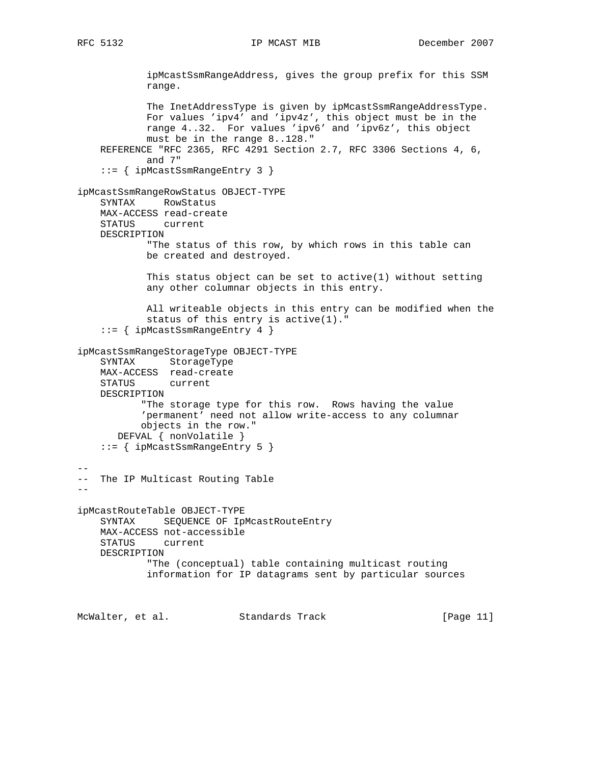ipMcastSsmRangeAddress, gives the group prefix for this SSM range. The InetAddressType is given by ipMcastSsmRangeAddressType. For values 'ipv4' and 'ipv4z', this object must be in the range 4..32. For values 'ipv6' and 'ipv6z', this object must be in the range 8..128." REFERENCE "RFC 2365, RFC 4291 Section 2.7, RFC 3306 Sections 4, 6, and 7" ::= { ipMcastSsmRangeEntry 3 } ipMcastSsmRangeRowStatus OBJECT-TYPE SYNTAX RowStatus MAX-ACCESS read-create STATUS current DESCRIPTION "The status of this row, by which rows in this table can be created and destroyed. This status object can be set to active(1) without setting any other columnar objects in this entry. All writeable objects in this entry can be modified when the status of this entry is active(1)." ::= { ipMcastSsmRangeEntry 4 } ipMcastSsmRangeStorageType OBJECT-TYPE SYNTAX StorageType MAX-ACCESS read-create STATUS current DESCRIPTION "The storage type for this row. Rows having the value 'permanent' need not allow write-access to any columnar objects in the row." DEFVAL { nonVolatile } ::= { ipMcastSsmRangeEntry 5 } -- -- The IP Multicast Routing Table - ipMcastRouteTable OBJECT-TYPE SYNTAX SEQUENCE OF IpMcastRouteEntry MAX-ACCESS not-accessible STATUS current DESCRIPTION "The (conceptual) table containing multicast routing information for IP datagrams sent by particular sources

McWalter, et al. Standards Track [Page 11]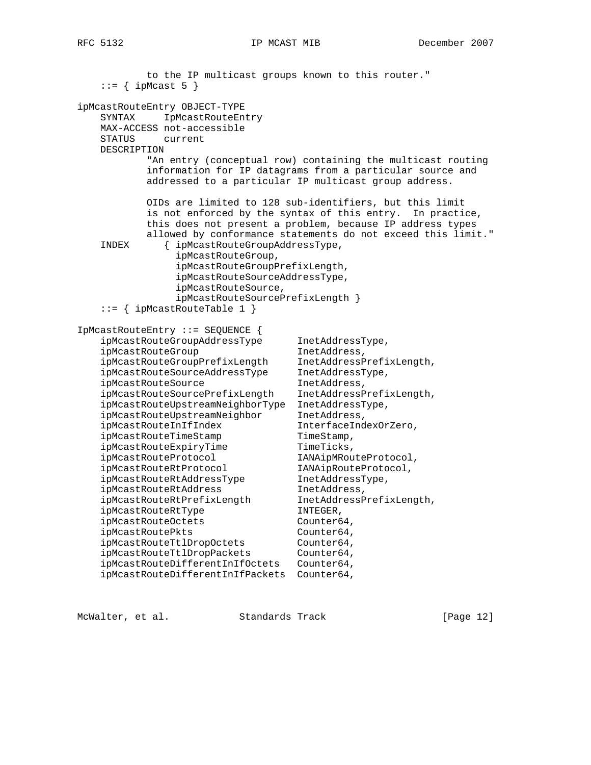to the IP multicast groups known to this router."  $::=$  { ipMcast 5 } ipMcastRouteEntry OBJECT-TYPE SYNTAX IpMcastRouteEntry MAX-ACCESS not-accessible STATUS current DESCRIPTION "An entry (conceptual row) containing the multicast routing information for IP datagrams from a particular source and addressed to a particular IP multicast group address. OIDs are limited to 128 sub-identifiers, but this limit is not enforced by the syntax of this entry. In practice, this does not present a problem, because IP address types allowed by conformance statements do not exceed this limit." INDEX { ipMcastRouteGroupAddressType, ipMcastRouteGroup, ipMcastRouteGroupPrefixLength, ipMcastRouteSourceAddressType, ipMcastRouteSource, ipMcastRouteSourcePrefixLength } ::= { ipMcastRouteTable 1 } IpMcastRouteEntry ::= SEQUENCE { ipMcastRouteGroupAddressType InetAddressType, ipMcastRouteGroup inetAddress, ipMcastRouteGroupPrefixLength InetAddressPrefixLength, ipMcastRouteSourceAddressType InetAddressType, ipMcastRouteSource inetAddress, ipMcastRouteSourcePrefixLength InetAddressPrefixLength, ipMcastRouteUpstreamNeighborType InetAddressType, ipMcastRouteUpstreamNeighbor InetAddress, ipMcastRouteInIfIndex InterfaceIndexOrZero, ipMcastRouteTimeStamp TimeStamp,<br>ipMcastRouteExpiryTime TimeTicks, ipMcastRouteExpiryTime TimeTicks,<br>
ipMcastRouteProtocol IANAipMRouteProtocol,<br>
inMastRouteRtRuteReteral INNisPerteRuteRtetal ipMcastRouteProtocol IANAipMRouteProtocol, ipMcastRouteRtProtocol IANAipRouteProtocol, ipMcastRouteRtAddressType InetAddressType, ipMcastRouteRtAddress inetAddress, ipMcastRouteRtPrefixLength InetAddressPrefixLength, ipMcastRouteRtType INTEGER, ipMcastRouteOctets Counter64, ipMcastRoutePkts Counter64, ipMcastRouteTtlDropOctets Counter64, ipMcastRouteTtlDropPackets Counter64, ipMcastRouteDifferentInIfOctets Counter64, ipMcastRouteDifferentInIfPackets Counter64,

McWalter, et al. Standards Track [Page 12]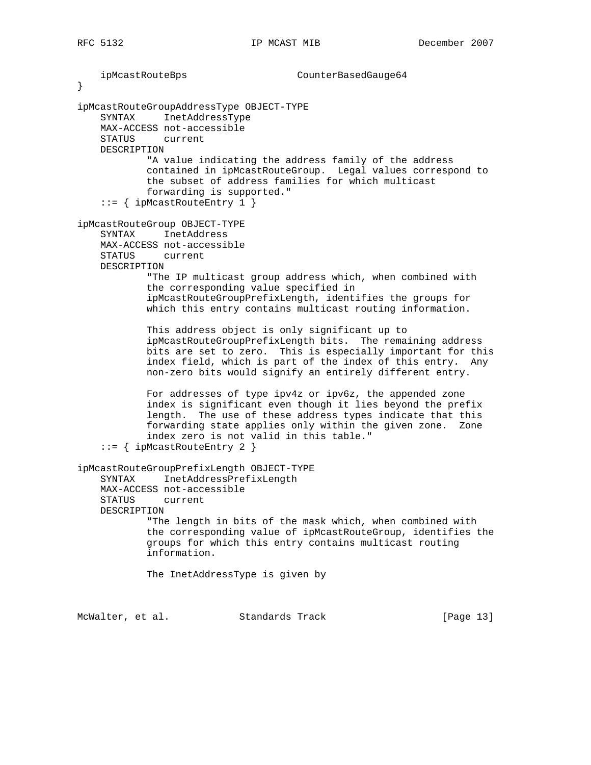ipMcastRouteBps CounterBasedGauge64 } ipMcastRouteGroupAddressType OBJECT-TYPE SYNTAX InetAddressType MAX-ACCESS not-accessible STATUS current DESCRIPTION "A value indicating the address family of the address contained in ipMcastRouteGroup. Legal values correspond to the subset of address families for which multicast forwarding is supported." ::= { ipMcastRouteEntry 1 } ipMcastRouteGroup OBJECT-TYPE SYNTAX InetAddress MAX-ACCESS not-accessible STATUS current DESCRIPTION "The IP multicast group address which, when combined with the corresponding value specified in ipMcastRouteGroupPrefixLength, identifies the groups for which this entry contains multicast routing information. This address object is only significant up to ipMcastRouteGroupPrefixLength bits. The remaining address bits are set to zero. This is especially important for this index field, which is part of the index of this entry. Any non-zero bits would signify an entirely different entry. For addresses of type ipv4z or ipv6z, the appended zone index is significant even though it lies beyond the prefix length. The use of these address types indicate that this forwarding state applies only within the given zone. Zone index zero is not valid in this table." ::= { ipMcastRouteEntry 2 } ipMcastRouteGroupPrefixLength OBJECT-TYPE SYNTAX InetAddressPrefixLength MAX-ACCESS not-accessible STATUS current DESCRIPTION "The length in bits of the mask which, when combined with the corresponding value of ipMcastRouteGroup, identifies the groups for which this entry contains multicast routing information. The InetAddressType is given by

McWalter, et al. Standards Track [Page 13]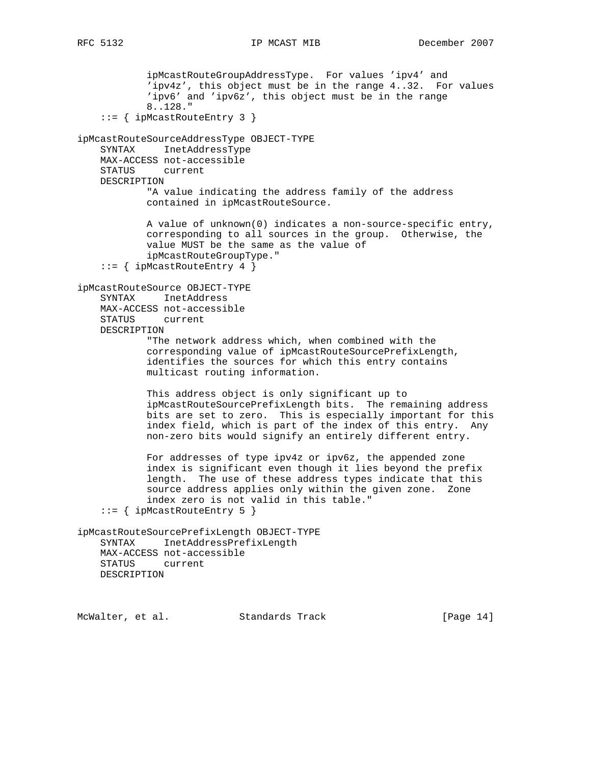```
 ipMcastRouteGroupAddressType. For values 'ipv4' and
             'ipv4z', this object must be in the range 4..32. For values
             'ipv6' and 'ipv6z', this object must be in the range
             8..128."
     ::= { ipMcastRouteEntry 3 }
ipMcastRouteSourceAddressType OBJECT-TYPE
    SYNTAX InetAddressType
    MAX-ACCESS not-accessible
     STATUS current
    DESCRIPTION
            "A value indicating the address family of the address
            contained in ipMcastRouteSource.
             A value of unknown(0) indicates a non-source-specific entry,
             corresponding to all sources in the group. Otherwise, the
             value MUST be the same as the value of
             ipMcastRouteGroupType."
     ::= { ipMcastRouteEntry 4 }
ipMcastRouteSource OBJECT-TYPE
     SYNTAX InetAddress
    MAX-ACCESS not-accessible
    STATUS current
    DESCRIPTION
            "The network address which, when combined with the
             corresponding value of ipMcastRouteSourcePrefixLength,
             identifies the sources for which this entry contains
             multicast routing information.
             This address object is only significant up to
             ipMcastRouteSourcePrefixLength bits. The remaining address
            bits are set to zero. This is especially important for this
             index field, which is part of the index of this entry. Any
            non-zero bits would signify an entirely different entry.
             For addresses of type ipv4z or ipv6z, the appended zone
             index is significant even though it lies beyond the prefix
             length. The use of these address types indicate that this
             source address applies only within the given zone. Zone
             index zero is not valid in this table."
     ::= { ipMcastRouteEntry 5 }
ipMcastRouteSourcePrefixLength OBJECT-TYPE
     SYNTAX InetAddressPrefixLength
    MAX-ACCESS not-accessible
    STATUS current
    DESCRIPTION
```
McWalter, et al. Standards Track [Page 14]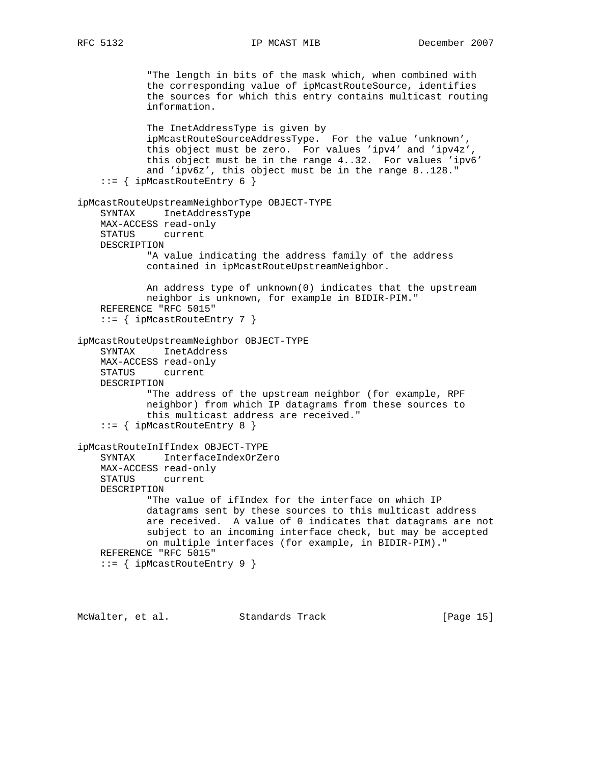"The length in bits of the mask which, when combined with the corresponding value of ipMcastRouteSource, identifies the sources for which this entry contains multicast routing information. The InetAddressType is given by ipMcastRouteSourceAddressType. For the value 'unknown', this object must be zero. For values 'ipv4' and 'ipv4z', this object must be in the range 4..32. For values 'ipv6' and 'ipv6z', this object must be in the range 8..128." ::= { ipMcastRouteEntry 6 } ipMcastRouteUpstreamNeighborType OBJECT-TYPE SYNTAX InetAddressType MAX-ACCESS read-only STATUS current DESCRIPTION "A value indicating the address family of the address contained in ipMcastRouteUpstreamNeighbor. An address type of unknown(0) indicates that the upstream neighbor is unknown, for example in BIDIR-PIM." REFERENCE "RFC 5015" ::= { ipMcastRouteEntry 7 } ipMcastRouteUpstreamNeighbor OBJECT-TYPE SYNTAX InetAddress MAX-ACCESS read-only STATUS current DESCRIPTION "The address of the upstream neighbor (for example, RPF neighbor) from which IP datagrams from these sources to this multicast address are received." ::= { ipMcastRouteEntry 8 } ipMcastRouteInIfIndex OBJECT-TYPE SYNTAX InterfaceIndexOrZero MAX-ACCESS read-only STATUS current DESCRIPTION "The value of ifIndex for the interface on which IP datagrams sent by these sources to this multicast address are received. A value of 0 indicates that datagrams are not subject to an incoming interface check, but may be accepted on multiple interfaces (for example, in BIDIR-PIM)." REFERENCE "RFC 5015" ::= { ipMcastRouteEntry 9 }

McWalter, et al. Standards Track [Page 15]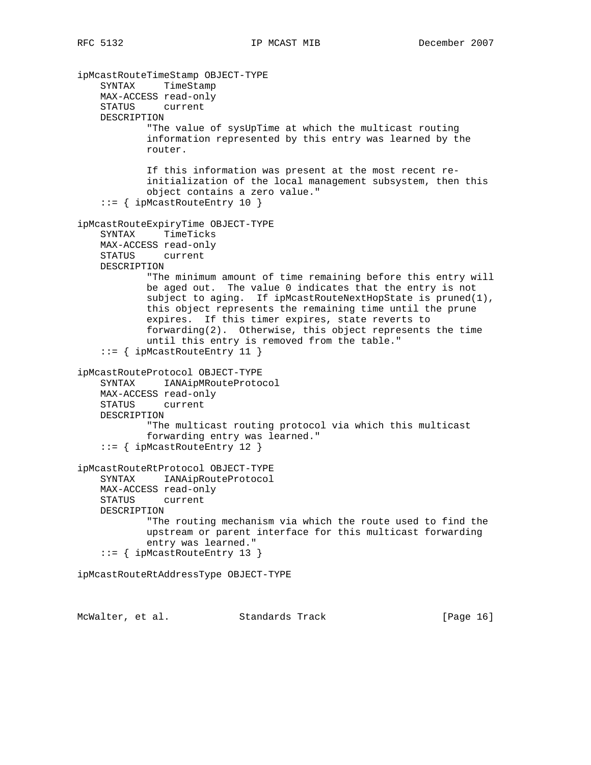ipMcastRouteTimeStamp OBJECT-TYPE SYNTAX TimeStamp MAX-ACCESS read-only STATUS current DESCRIPTION "The value of sysUpTime at which the multicast routing information represented by this entry was learned by the router. If this information was present at the most recent re initialization of the local management subsystem, then this object contains a zero value." ::= { ipMcastRouteEntry 10 } ipMcastRouteExpiryTime OBJECT-TYPE SYNTAX TimeTicks MAX-ACCESS read-only STATUS current DESCRIPTION "The minimum amount of time remaining before this entry will be aged out. The value 0 indicates that the entry is not subject to aging. If ipMcastRouteNextHopState is pruned(1), this object represents the remaining time until the prune expires. If this timer expires, state reverts to forwarding(2). Otherwise, this object represents the time until this entry is removed from the table." ::= { ipMcastRouteEntry 11 } ipMcastRouteProtocol OBJECT-TYPE SYNTAX IANAipMRouteProtocol MAX-ACCESS read-only STATUS current DESCRIPTION "The multicast routing protocol via which this multicast forwarding entry was learned." ::= { ipMcastRouteEntry 12 } ipMcastRouteRtProtocol OBJECT-TYPE SYNTAX IANAipRouteProtocol MAX-ACCESS read-only STATUS current DESCRIPTION "The routing mechanism via which the route used to find the upstream or parent interface for this multicast forwarding entry was learned." ::= { ipMcastRouteEntry 13 } ipMcastRouteRtAddressType OBJECT-TYPE

McWalter, et al. Standards Track [Page 16]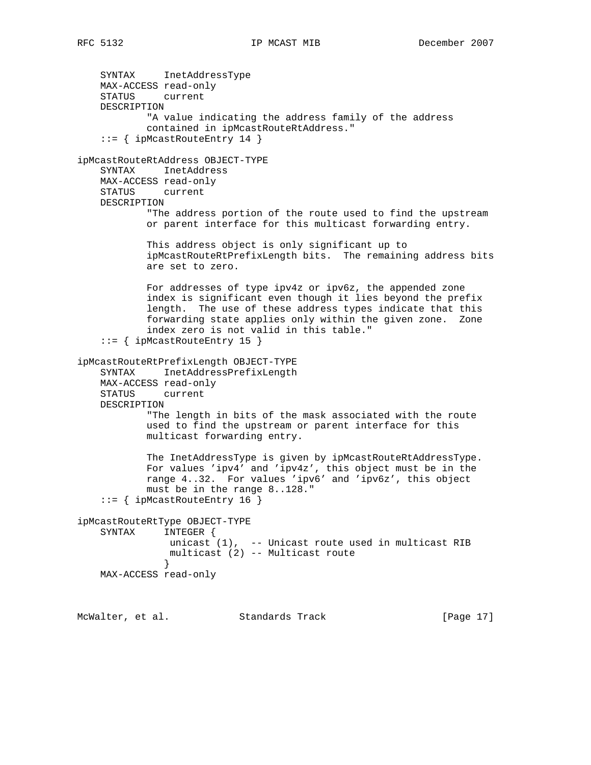SYNTAX InetAddressType MAX-ACCESS read-only STATUS current DESCRIPTION "A value indicating the address family of the address contained in ipMcastRouteRtAddress." ::= { ipMcastRouteEntry 14 } ipMcastRouteRtAddress OBJECT-TYPE SYNTAX InetAddress MAX-ACCESS read-only STATUS current DESCRIPTION "The address portion of the route used to find the upstream or parent interface for this multicast forwarding entry. This address object is only significant up to ipMcastRouteRtPrefixLength bits. The remaining address bits are set to zero. For addresses of type ipv4z or ipv6z, the appended zone index is significant even though it lies beyond the prefix length. The use of these address types indicate that this forwarding state applies only within the given zone. Zone index zero is not valid in this table." ::= { ipMcastRouteEntry 15 } ipMcastRouteRtPrefixLength OBJECT-TYPE SYNTAX InetAddressPrefixLength MAX-ACCESS read-only STATUS current DESCRIPTION "The length in bits of the mask associated with the route used to find the upstream or parent interface for this multicast forwarding entry. The InetAddressType is given by ipMcastRouteRtAddressType. For values 'ipv4' and 'ipv4z', this object must be in the range 4..32. For values 'ipv6' and 'ipv6z', this object must be in the range 8..128." ::= { ipMcastRouteEntry 16 } ipMcastRouteRtType OBJECT-TYPE SYNTAX INTEGER { unicast (1), -- Unicast route used in multicast RIB multicast (2) -- Multicast route } MAX-ACCESS read-only

McWalter, et al. Standards Track [Page 17]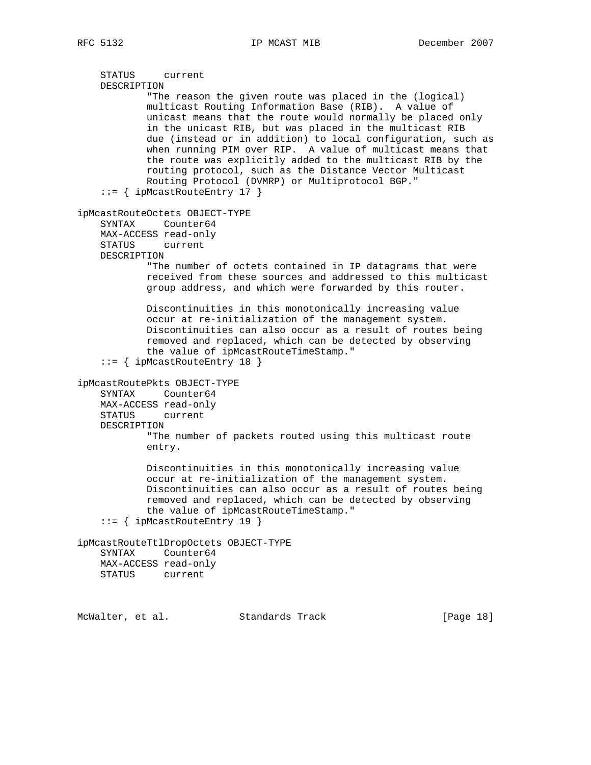```
 STATUS current
     DESCRIPTION
            "The reason the given route was placed in the (logical)
             multicast Routing Information Base (RIB). A value of
             unicast means that the route would normally be placed only
             in the unicast RIB, but was placed in the multicast RIB
             due (instead or in addition) to local configuration, such as
             when running PIM over RIP. A value of multicast means that
             the route was explicitly added to the multicast RIB by the
            routing protocol, such as the Distance Vector Multicast
            Routing Protocol (DVMRP) or Multiprotocol BGP."
     ::= { ipMcastRouteEntry 17 }
ipMcastRouteOctets OBJECT-TYPE
     SYNTAX Counter64
     MAX-ACCESS read-only
     STATUS current
     DESCRIPTION
             "The number of octets contained in IP datagrams that were
            received from these sources and addressed to this multicast
            group address, and which were forwarded by this router.
            Discontinuities in this monotonically increasing value
            occur at re-initialization of the management system.
            Discontinuities can also occur as a result of routes being
             removed and replaced, which can be detected by observing
             the value of ipMcastRouteTimeStamp."
     ::= { ipMcastRouteEntry 18 }
ipMcastRoutePkts OBJECT-TYPE
     SYNTAX Counter64
     MAX-ACCESS read-only
     STATUS current
     DESCRIPTION
             "The number of packets routed using this multicast route
            entry.
             Discontinuities in this monotonically increasing value
             occur at re-initialization of the management system.
             Discontinuities can also occur as a result of routes being
            removed and replaced, which can be detected by observing
            the value of ipMcastRouteTimeStamp."
     ::= { ipMcastRouteEntry 19 }
ipMcastRouteTtlDropOctets OBJECT-TYPE
     SYNTAX Counter64
    MAX-ACCESS read-only
     STATUS current
McWalter, et al. Standards Track [Page 18]
```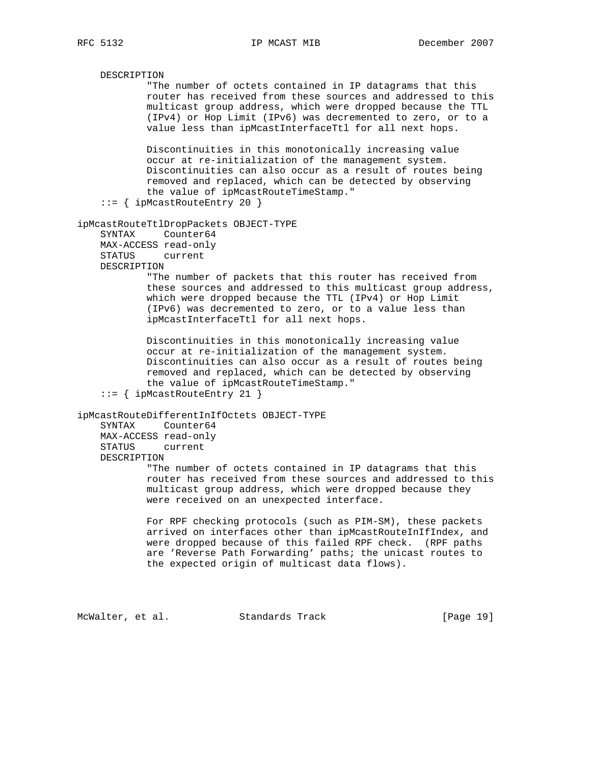DESCRIPTION "The number of octets contained in IP datagrams that this router has received from these sources and addressed to this multicast group address, which were dropped because the TTL (IPv4) or Hop Limit (IPv6) was decremented to zero, or to a value less than ipMcastInterfaceTtl for all next hops. Discontinuities in this monotonically increasing value occur at re-initialization of the management system. Discontinuities can also occur as a result of routes being removed and replaced, which can be detected by observing the value of ipMcastRouteTimeStamp." ::= { ipMcastRouteEntry 20 } ipMcastRouteTtlDropPackets OBJECT-TYPE SYNTAX Counter64 MAX-ACCESS read-only STATUS current DESCRIPTION "The number of packets that this router has received from these sources and addressed to this multicast group address, which were dropped because the TTL (IPv4) or Hop Limit (IPv6) was decremented to zero, or to a value less than ipMcastInterfaceTtl for all next hops. Discontinuities in this monotonically increasing value occur at re-initialization of the management system. Discontinuities can also occur as a result of routes being removed and replaced, which can be detected by observing the value of ipMcastRouteTimeStamp." ::= { ipMcastRouteEntry 21 } ipMcastRouteDifferentInIfOctets OBJECT-TYPE SYNTAX Counter64 MAX-ACCESS read-only STATUS current DESCRIPTION "The number of octets contained in IP datagrams that this router has received from these sources and addressed to this multicast group address, which were dropped because they were received on an unexpected interface. For RPF checking protocols (such as PIM-SM), these packets arrived on interfaces other than ipMcastRouteInIfIndex, and were dropped because of this failed RPF check. (RPF paths are 'Reverse Path Forwarding' paths; the unicast routes to the expected origin of multicast data flows). McWalter, et al. Standards Track [Page 19]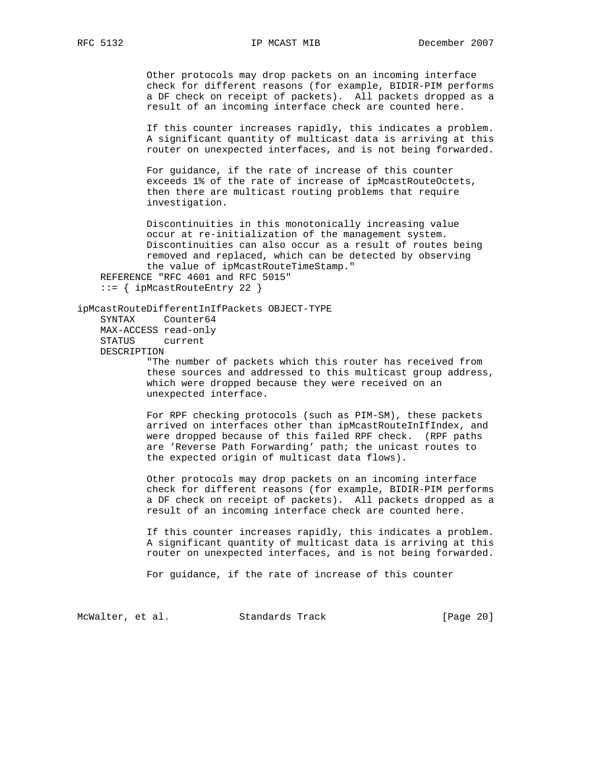Other protocols may drop packets on an incoming interface check for different reasons (for example, BIDIR-PIM performs a DF check on receipt of packets). All packets dropped as a result of an incoming interface check are counted here.

 If this counter increases rapidly, this indicates a problem. A significant quantity of multicast data is arriving at this router on unexpected interfaces, and is not being forwarded.

 For guidance, if the rate of increase of this counter exceeds 1% of the rate of increase of ipMcastRouteOctets, then there are multicast routing problems that require investigation.

 Discontinuities in this monotonically increasing value occur at re-initialization of the management system. Discontinuities can also occur as a result of routes being removed and replaced, which can be detected by observing the value of ipMcastRouteTimeStamp." REFERENCE "RFC 4601 and RFC 5015" ::= { ipMcastRouteEntry 22 }

```
ipMcastRouteDifferentInIfPackets OBJECT-TYPE
    SYNTAX Counter64
    MAX-ACCESS read-only
    STATUS current
    DESCRIPTION
```
 "The number of packets which this router has received from these sources and addressed to this multicast group address, which were dropped because they were received on an unexpected interface.

 For RPF checking protocols (such as PIM-SM), these packets arrived on interfaces other than ipMcastRouteInIfIndex, and were dropped because of this failed RPF check. (RPF paths are 'Reverse Path Forwarding' path; the unicast routes to the expected origin of multicast data flows).

 Other protocols may drop packets on an incoming interface check for different reasons (for example, BIDIR-PIM performs a DF check on receipt of packets). All packets dropped as a result of an incoming interface check are counted here.

 If this counter increases rapidly, this indicates a problem. A significant quantity of multicast data is arriving at this router on unexpected interfaces, and is not being forwarded.

For guidance, if the rate of increase of this counter

McWalter, et al. Standards Track [Page 20]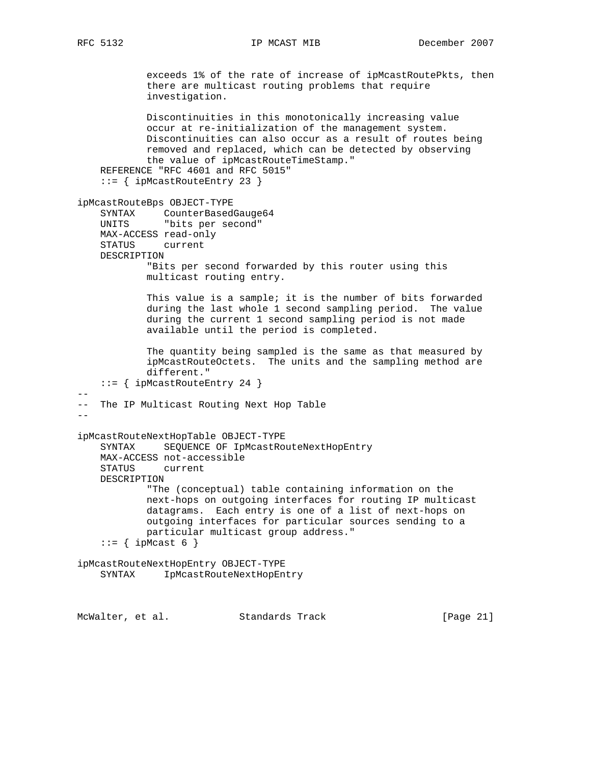exceeds 1% of the rate of increase of ipMcastRoutePkts, then there are multicast routing problems that require investigation. Discontinuities in this monotonically increasing value occur at re-initialization of the management system. Discontinuities can also occur as a result of routes being removed and replaced, which can be detected by observing the value of ipMcastRouteTimeStamp." REFERENCE "RFC 4601 and RFC 5015" ::= { ipMcastRouteEntry 23 } ipMcastRouteBps OBJECT-TYPE SYNTAX CounterBasedGauge64 UNITS "bits per second" MAX-ACCESS read-only STATUS current DESCRIPTION "Bits per second forwarded by this router using this multicast routing entry. This value is a sample; it is the number of bits forwarded during the last whole 1 second sampling period. The value during the current 1 second sampling period is not made available until the period is completed. The quantity being sampled is the same as that measured by ipMcastRouteOctets. The units and the sampling method are different." ::= { ipMcastRouteEntry 24 } -- -- The IP Multicast Routing Next Hop Table  $-$ ipMcastRouteNextHopTable OBJECT-TYPE SYNTAX SEQUENCE OF IpMcastRouteNextHopEntry MAX-ACCESS not-accessible STATUS current DESCRIPTION "The (conceptual) table containing information on the next-hops on outgoing interfaces for routing IP multicast datagrams. Each entry is one of a list of next-hops on outgoing interfaces for particular sources sending to a particular multicast group address."  $::=$  { ipMcast 6 } ipMcastRouteNextHopEntry OBJECT-TYPE SYNTAX IpMcastRouteNextHopEntry

McWalter, et al. Standards Track [Page 21]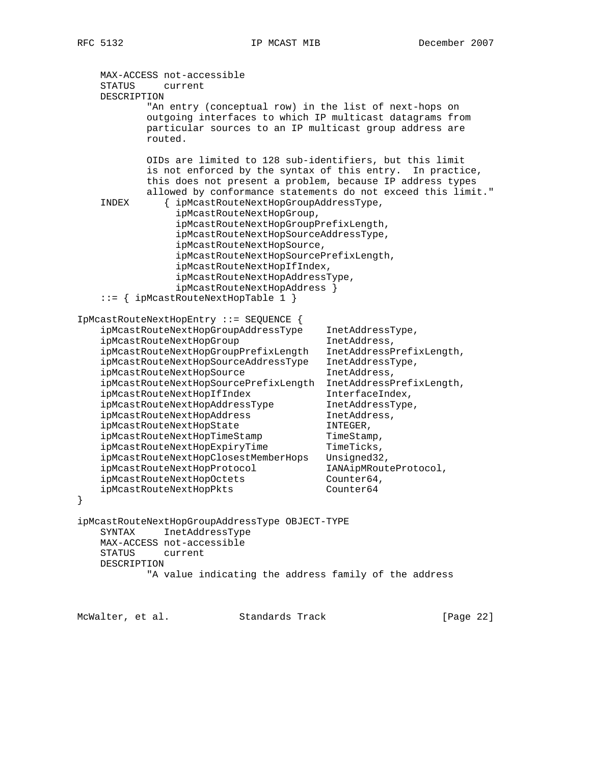```
 MAX-ACCESS not-accessible
     STATUS current
    DESCRIPTION
             "An entry (conceptual row) in the list of next-hops on
             outgoing interfaces to which IP multicast datagrams from
             particular sources to an IP multicast group address are
             routed.
             OIDs are limited to 128 sub-identifiers, but this limit
             is not enforced by the syntax of this entry. In practice,
             this does not present a problem, because IP address types
             allowed by conformance statements do not exceed this limit."
     INDEX { ipMcastRouteNextHopGroupAddressType,
                  ipMcastRouteNextHopGroup,
                  ipMcastRouteNextHopGroupPrefixLength,
                  ipMcastRouteNextHopSourceAddressType,
                  ipMcastRouteNextHopSource,
                  ipMcastRouteNextHopSourcePrefixLength,
                  ipMcastRouteNextHopIfIndex,
                  ipMcastRouteNextHopAddressType,
                  ipMcastRouteNextHopAddress }
     ::= { ipMcastRouteNextHopTable 1 }
IpMcastRouteNextHopEntry ::= SEQUENCE {
    is in the set of the control of the control of the control of the control of the control of the control of the c<br>in the control of the control of the control of the control of the control of the control of the control of t
    ipMcastRouteNextHopGroup inetAddress,
 ipMcastRouteNextHopGroupPrefixLength InetAddressPrefixLength,
 ipMcastRouteNextHopSourceAddressType InetAddressType,
    ipMcastRouteNextHopSource InetAddress,
     ipMcastRouteNextHopSourcePrefixLength InetAddressPrefixLength,
ipMcastRouteNextHopIfIndex InterfaceIndex,
 ipMcastRouteNextHopAddressType InetAddressType,
ipMcastRouteNextHopAddress inetAddress,
    ipMcastRouteNextHopState INTEGER,
ipMcastRouteNextHopTimeStamp TimeStamp,
ipMcastRouteNextHopExpiryTime TimeTicks,
 ipMcastRouteNextHopClosestMemberHops Unsigned32,
 ipMcastRouteNextHopProtocol IANAipMRouteProtocol,
ipMcastRouteNextHopOctets Counter64,
ipMcastRouteNextHopPkts counter64
}
ipMcastRouteNextHopGroupAddressType OBJECT-TYPE
    SYNTAX InetAddressType
    MAX-ACCESS not-accessible
     STATUS current
    DESCRIPTION
             "A value indicating the address family of the address
```
McWalter, et al. Standards Track [Page 22]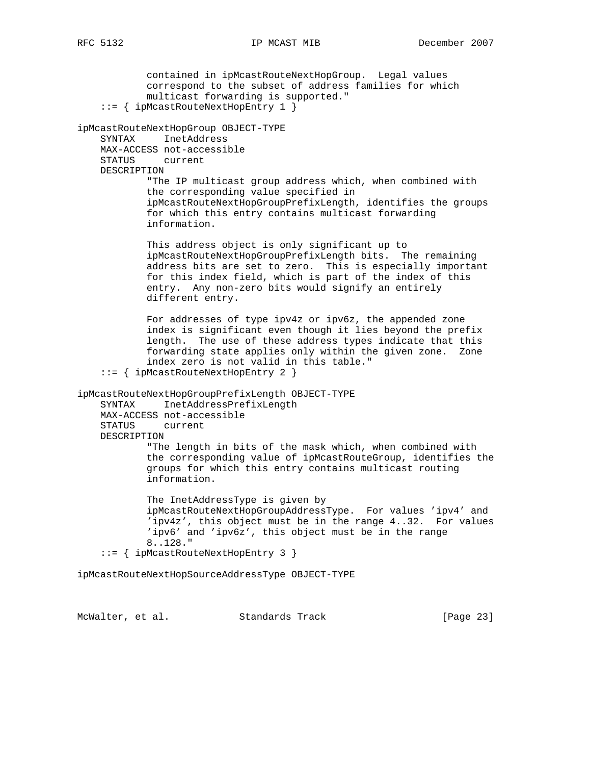contained in ipMcastRouteNextHopGroup. Legal values correspond to the subset of address families for which multicast forwarding is supported." ::= { ipMcastRouteNextHopEntry 1 } ipMcastRouteNextHopGroup OBJECT-TYPE SYNTAX InetAddress MAX-ACCESS not-accessible STATUS current DESCRIPTION "The IP multicast group address which, when combined with the corresponding value specified in ipMcastRouteNextHopGroupPrefixLength, identifies the groups for which this entry contains multicast forwarding information. This address object is only significant up to ipMcastRouteNextHopGroupPrefixLength bits. The remaining address bits are set to zero. This is especially important for this index field, which is part of the index of this entry. Any non-zero bits would signify an entirely different entry. For addresses of type ipv4z or ipv6z, the appended zone index is significant even though it lies beyond the prefix length. The use of these address types indicate that this forwarding state applies only within the given zone. Zone index zero is not valid in this table." ::= { ipMcastRouteNextHopEntry 2 } ipMcastRouteNextHopGroupPrefixLength OBJECT-TYPE SYNTAX InetAddressPrefixLength MAX-ACCESS not-accessible STATUS current DESCRIPTION "The length in bits of the mask which, when combined with the corresponding value of ipMcastRouteGroup, identifies the groups for which this entry contains multicast routing information. The InetAddressType is given by ipMcastRouteNextHopGroupAddressType. For values 'ipv4' and 'ipv4z', this object must be in the range 4..32. For values 'ipv6' and 'ipv6z', this object must be in the range 8..128." ::= { ipMcastRouteNextHopEntry 3 }

ipMcastRouteNextHopSourceAddressType OBJECT-TYPE

McWalter, et al. Standards Track [Page 23]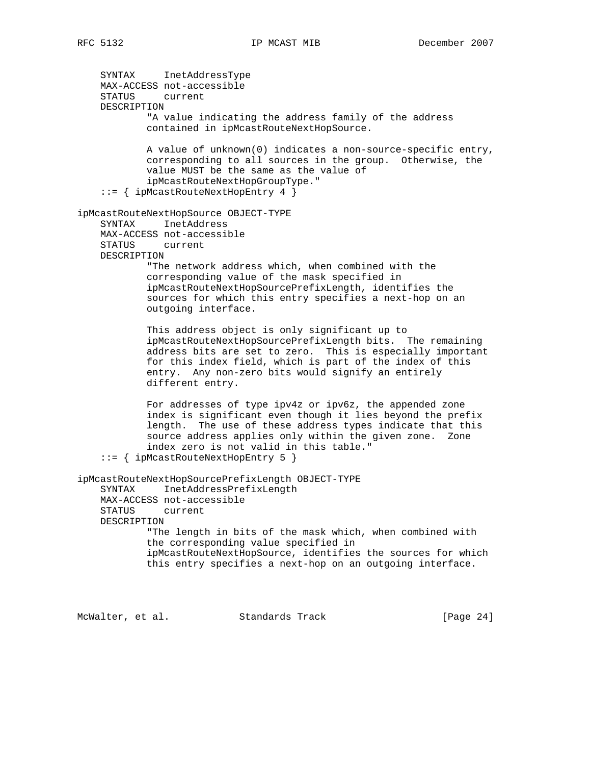SYNTAX InetAddressType MAX-ACCESS not-accessible STATUS current DESCRIPTION "A value indicating the address family of the address contained in ipMcastRouteNextHopSource. A value of unknown(0) indicates a non-source-specific entry, corresponding to all sources in the group. Otherwise, the value MUST be the same as the value of ipMcastRouteNextHopGroupType." ::= { ipMcastRouteNextHopEntry 4 } ipMcastRouteNextHopSource OBJECT-TYPE SYNTAX InetAddress MAX-ACCESS not-accessible STATUS current DESCRIPTION "The network address which, when combined with the corresponding value of the mask specified in ipMcastRouteNextHopSourcePrefixLength, identifies the sources for which this entry specifies a next-hop on an outgoing interface. This address object is only significant up to ipMcastRouteNextHopSourcePrefixLength bits. The remaining address bits are set to zero. This is especially important for this index field, which is part of the index of this entry. Any non-zero bits would signify an entirely different entry. For addresses of type ipv4z or ipv6z, the appended zone index is significant even though it lies beyond the prefix length. The use of these address types indicate that this source address applies only within the given zone. Zone index zero is not valid in this table." ::= { ipMcastRouteNextHopEntry 5 } ipMcastRouteNextHopSourcePrefixLength OBJECT-TYPE SYNTAX InetAddressPrefixLength MAX-ACCESS not-accessible STATUS current DESCRIPTION "The length in bits of the mask which, when combined with the corresponding value specified in ipMcastRouteNextHopSource, identifies the sources for which this entry specifies a next-hop on an outgoing interface.

McWalter, et al. Standards Track [Page 24]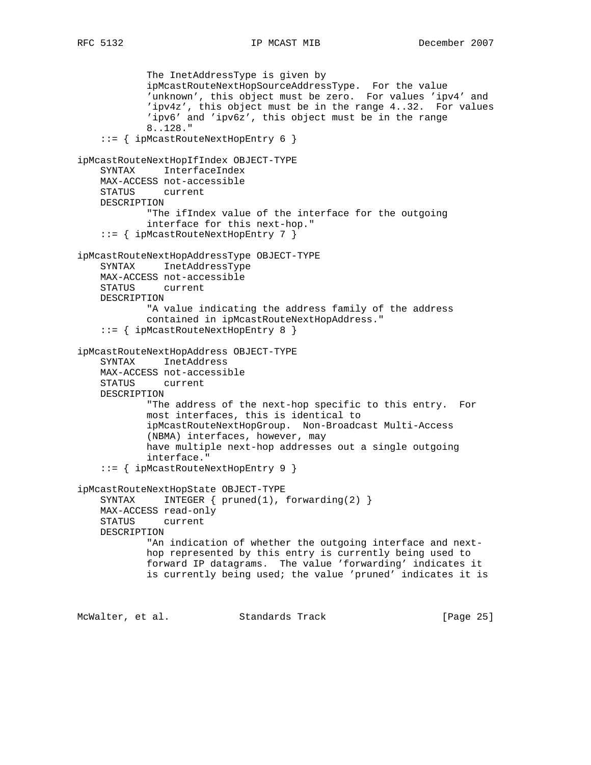```
 The InetAddressType is given by
 ipMcastRouteNextHopSourceAddressType. For the value
 'unknown', this object must be zero. For values 'ipv4' and
             'ipv4z', this object must be in the range 4..32. For values
             'ipv6' and 'ipv6z', this object must be in the range
             8..128."
     ::= { ipMcastRouteNextHopEntry 6 }
ipMcastRouteNextHopIfIndex OBJECT-TYPE
     SYNTAX InterfaceIndex
    MAX-ACCESS not-accessible
    STATUS current
    DESCRIPTION
            "The ifIndex value of the interface for the outgoing
             interface for this next-hop."
     ::= { ipMcastRouteNextHopEntry 7 }
ipMcastRouteNextHopAddressType OBJECT-TYPE
    SYNTAX InetAddressType
    MAX-ACCESS not-accessible
    STATUS current
    DESCRIPTION
             "A value indicating the address family of the address
            contained in ipMcastRouteNextHopAddress."
     ::= { ipMcastRouteNextHopEntry 8 }
ipMcastRouteNextHopAddress OBJECT-TYPE
     SYNTAX InetAddress
    MAX-ACCESS not-accessible
    STATUS current
    DESCRIPTION
            "The address of the next-hop specific to this entry. For
            most interfaces, this is identical to
            ipMcastRouteNextHopGroup. Non-Broadcast Multi-Access
            (NBMA) interfaces, however, may
            have multiple next-hop addresses out a single outgoing
            interface."
     ::= { ipMcastRouteNextHopEntry 9 }
ipMcastRouteNextHopState OBJECT-TYPE
     SYNTAX INTEGER { pruned(1), forwarding(2) }
    MAX-ACCESS read-only
    STATUS current
    DESCRIPTION
            "An indication of whether the outgoing interface and next-
            hop represented by this entry is currently being used to
            forward IP datagrams. The value 'forwarding' indicates it
            is currently being used; the value 'pruned' indicates it is
```
McWalter, et al. Standards Track [Page 25]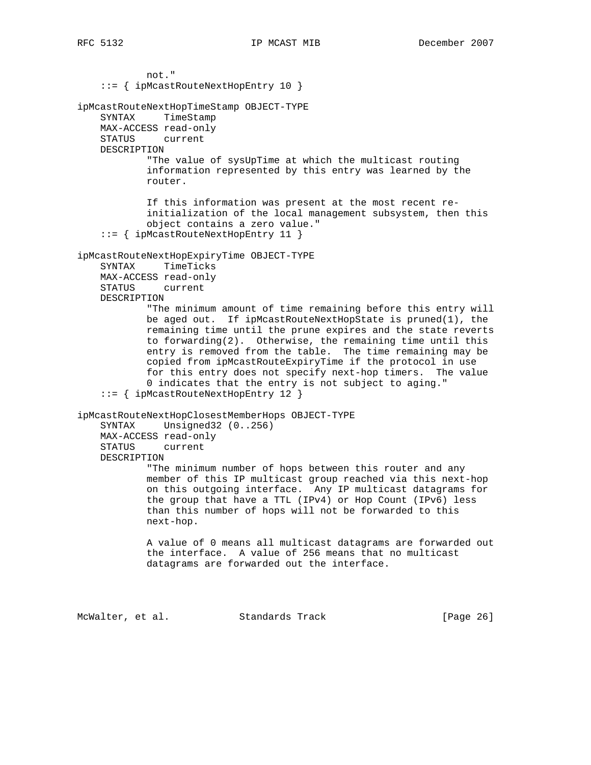not." ::= { ipMcastRouteNextHopEntry 10 } ipMcastRouteNextHopTimeStamp OBJECT-TYPE SYNTAX TimeStamp MAX-ACCESS read-only STATUS current DESCRIPTION "The value of sysUpTime at which the multicast routing information represented by this entry was learned by the router. If this information was present at the most recent re initialization of the local management subsystem, then this object contains a zero value." ::= { ipMcastRouteNextHopEntry 11 } ipMcastRouteNextHopExpiryTime OBJECT-TYPE SYNTAX TimeTicks MAX-ACCESS read-only STATUS current DESCRIPTION "The minimum amount of time remaining before this entry will be aged out. If ipMcastRouteNextHopState is pruned(1), the remaining time until the prune expires and the state reverts to forwarding(2). Otherwise, the remaining time until this entry is removed from the table. The time remaining may be copied from ipMcastRouteExpiryTime if the protocol in use for this entry does not specify next-hop timers. The value 0 indicates that the entry is not subject to aging." ::= { ipMcastRouteNextHopEntry 12 } ipMcastRouteNextHopClosestMemberHops OBJECT-TYPE SYNTAX Unsigned32 (0..256) MAX-ACCESS read-only STATUS current DESCRIPTION "The minimum number of hops between this router and any member of this IP multicast group reached via this next-hop on this outgoing interface. Any IP multicast datagrams for the group that have a TTL (IPv4) or Hop Count (IPv6) less than this number of hops will not be forwarded to this next-hop. A value of 0 means all multicast datagrams are forwarded out the interface. A value of 256 means that no multicast datagrams are forwarded out the interface.

McWalter, et al. Standards Track [Page 26]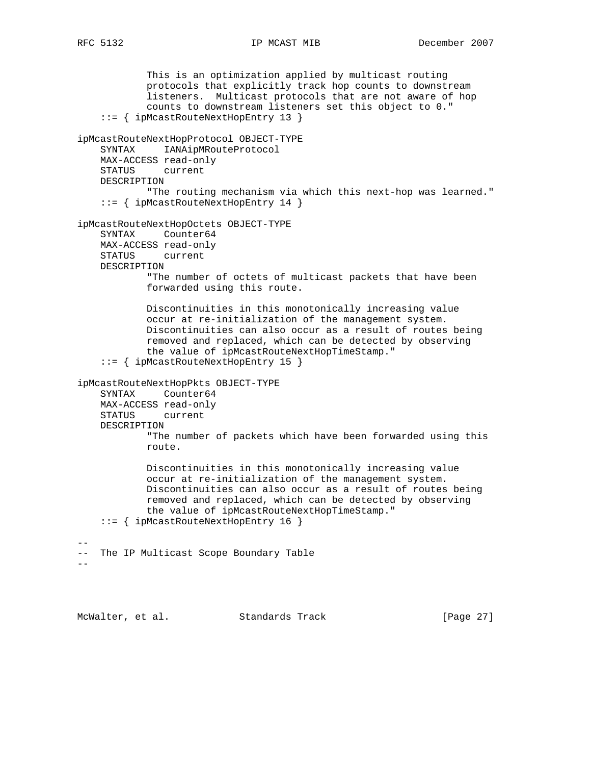This is an optimization applied by multicast routing protocols that explicitly track hop counts to downstream listeners. Multicast protocols that are not aware of hop counts to downstream listeners set this object to 0." ::= { ipMcastRouteNextHopEntry 13 } ipMcastRouteNextHopProtocol OBJECT-TYPE SYNTAX IANAipMRouteProtocol MAX-ACCESS read-only STATUS current DESCRIPTION "The routing mechanism via which this next-hop was learned." ::= { ipMcastRouteNextHopEntry 14 } ipMcastRouteNextHopOctets OBJECT-TYPE SYNTAX Counter64 MAX-ACCESS read-only STATUS current DESCRIPTION "The number of octets of multicast packets that have been forwarded using this route. Discontinuities in this monotonically increasing value occur at re-initialization of the management system. Discontinuities can also occur as a result of routes being removed and replaced, which can be detected by observing the value of ipMcastRouteNextHopTimeStamp." ::= { ipMcastRouteNextHopEntry 15 } ipMcastRouteNextHopPkts OBJECT-TYPE SYNTAX Counter64 MAX-ACCESS read-only STATUS current DESCRIPTION "The number of packets which have been forwarded using this route. Discontinuities in this monotonically increasing value occur at re-initialization of the management system. Discontinuities can also occur as a result of routes being removed and replaced, which can be detected by observing the value of ipMcastRouteNextHopTimeStamp." ::= { ipMcastRouteNextHopEntry 16 } -- -- The IP Multicast Scope Boundary Table  $-$ 

McWalter, et al. Standards Track [Page 27]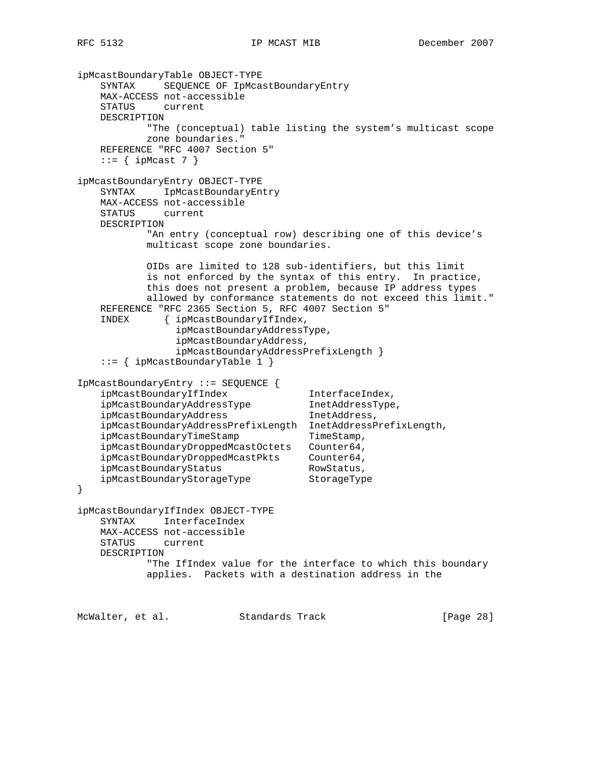```
ipMcastBoundaryTable OBJECT-TYPE
    SYNTAX SEQUENCE OF IpMcastBoundaryEntry
    MAX-ACCESS not-accessible
    STATUS current
    DESCRIPTION
            "The (conceptual) table listing the system's multicast scope
            zone boundaries."
    REFERENCE "RFC 4007 Section 5"
   ::= { ipMcast 7 }
ipMcastBoundaryEntry OBJECT-TYPE
    SYNTAX IpMcastBoundaryEntry
    MAX-ACCESS not-accessible
    STATUS current
    DESCRIPTION
            "An entry (conceptual row) describing one of this device's
            multicast scope zone boundaries.
            OIDs are limited to 128 sub-identifiers, but this limit
            is not enforced by the syntax of this entry. In practice,
            this does not present a problem, because IP address types
            allowed by conformance statements do not exceed this limit."
    REFERENCE "RFC 2365 Section 5, RFC 4007 Section 5"
     INDEX { ipMcastBoundaryIfIndex,
                 ipMcastBoundaryAddressType,
                 ipMcastBoundaryAddress,
                 ipMcastBoundaryAddressPrefixLength }
     ::= { ipMcastBoundaryTable 1 }
IpMcastBoundaryEntry ::= SEQUENCE {
ipMcastBoundaryIfIndex InterfaceIndex,
 ipMcastBoundaryAddressType InetAddressType,
ipMcastBoundaryAddress inetAddress,
   ipMcastBoundaryAddressPrefixLength InetAddressPrefixLength,<br>ipMcastBoundaryTimeStamp TimeStamp,
   ipMcastBoundaryTimeStamp
    ipMcastBoundaryDroppedMcastOctets Counter64,
 ipMcastBoundaryDroppedMcastPkts Counter64,
ipMcastBoundaryStatus RowStatus,
 ipMcastBoundaryStorageType StorageType
}
ipMcastBoundaryIfIndex OBJECT-TYPE
    SYNTAX InterfaceIndex
    MAX-ACCESS not-accessible
    STATUS current
    DESCRIPTION
            "The IfIndex value for the interface to which this boundary
            applies. Packets with a destination address in the
```
McWalter, et al. Standards Track [Page 28]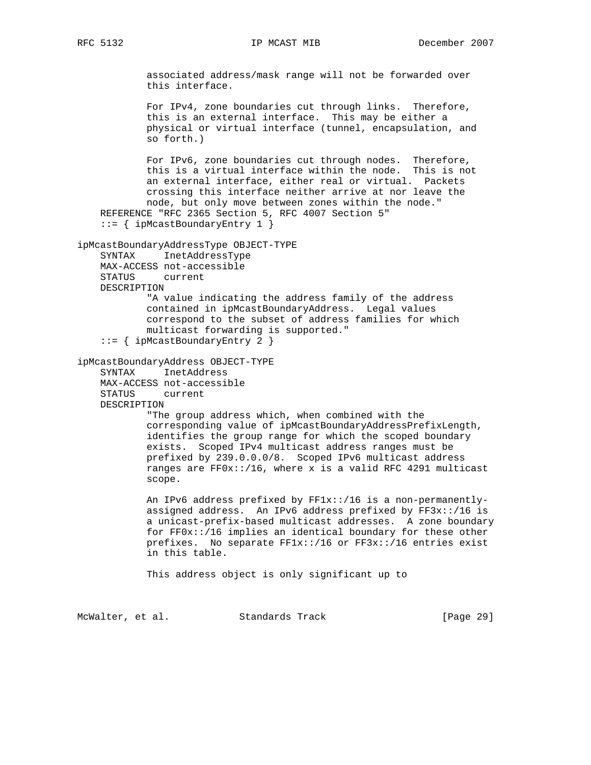associated address/mask range will not be forwarded over this interface. For IPv4, zone boundaries cut through links. Therefore, this is an external interface. This may be either a physical or virtual interface (tunnel, encapsulation, and so forth.) For IPv6, zone boundaries cut through nodes. Therefore, this is a virtual interface within the node. This is not an external interface, either real or virtual. Packets crossing this interface neither arrive at nor leave the node, but only move between zones within the node." REFERENCE "RFC 2365 Section 5, RFC 4007 Section 5" ::= { ipMcastBoundaryEntry 1 } ipMcastBoundaryAddressType OBJECT-TYPE SYNTAX InetAddressType MAX-ACCESS not-accessible STATUS current DESCRIPTION "A value indicating the address family of the address contained in ipMcastBoundaryAddress. Legal values correspond to the subset of address families for which multicast forwarding is supported." ::= { ipMcastBoundaryEntry 2 } ipMcastBoundaryAddress OBJECT-TYPE SYNTAX InetAddress MAX-ACCESS not-accessible STATUS current DESCRIPTION "The group address which, when combined with the corresponding value of ipMcastBoundaryAddressPrefixLength, identifies the group range for which the scoped boundary exists. Scoped IPv4 multicast address ranges must be prefixed by 239.0.0.0/8. Scoped IPv6 multicast address ranges are  $FF0x::/16$ , where x is a valid RFC 4291 multicast scope. An IPv6 address prefixed by FF1x::/16 is a non-permanently assigned address. An IPv6 address prefixed by FF3x::/16 is a unicast-prefix-based multicast addresses. A zone boundary for FF0x::/16 implies an identical boundary for these other prefixes. No separate FF1x::/16 or FF3x::/16 entries exist in this table. This address object is only significant up to

McWalter, et al. Standards Track [Page 29]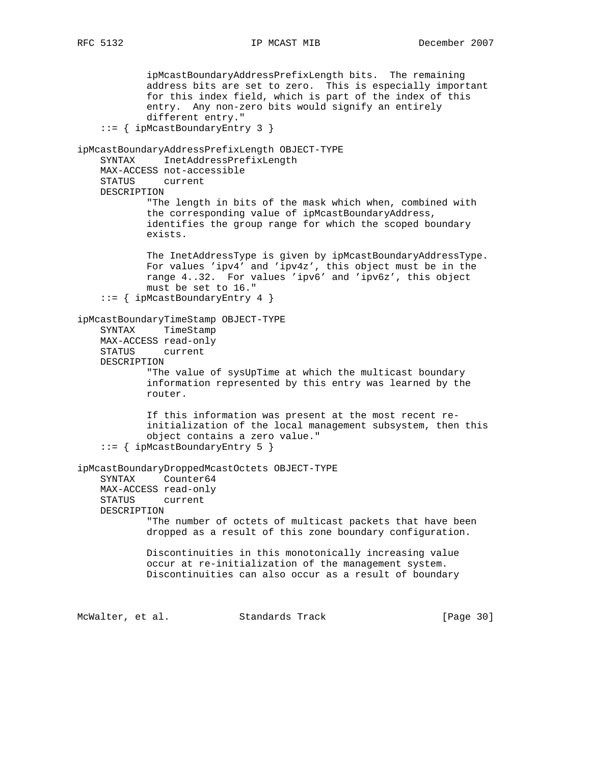ipMcastBoundaryAddressPrefixLength bits. The remaining address bits are set to zero. This is especially important for this index field, which is part of the index of this entry. Any non-zero bits would signify an entirely different entry." ::= { ipMcastBoundaryEntry 3 } ipMcastBoundaryAddressPrefixLength OBJECT-TYPE SYNTAX InetAddressPrefixLength MAX-ACCESS not-accessible STATUS current DESCRIPTION "The length in bits of the mask which when, combined with the corresponding value of ipMcastBoundaryAddress, identifies the group range for which the scoped boundary exists. The InetAddressType is given by ipMcastBoundaryAddressType. For values 'ipv4' and 'ipv4z', this object must be in the range 4..32. For values 'ipv6' and 'ipv6z', this object must be set to 16." ::= { ipMcastBoundaryEntry 4 } ipMcastBoundaryTimeStamp OBJECT-TYPE SYNTAX TimeStamp MAX-ACCESS read-only STATUS current DESCRIPTION "The value of sysUpTime at which the multicast boundary information represented by this entry was learned by the router. If this information was present at the most recent re initialization of the local management subsystem, then this object contains a zero value." ::= { ipMcastBoundaryEntry 5 } ipMcastBoundaryDroppedMcastOctets OBJECT-TYPE SYNTAX Counter64 MAX-ACCESS read-only STATUS current DESCRIPTION "The number of octets of multicast packets that have been dropped as a result of this zone boundary configuration. Discontinuities in this monotonically increasing value occur at re-initialization of the management system. Discontinuities can also occur as a result of boundary McWalter, et al. Standards Track [Page 30]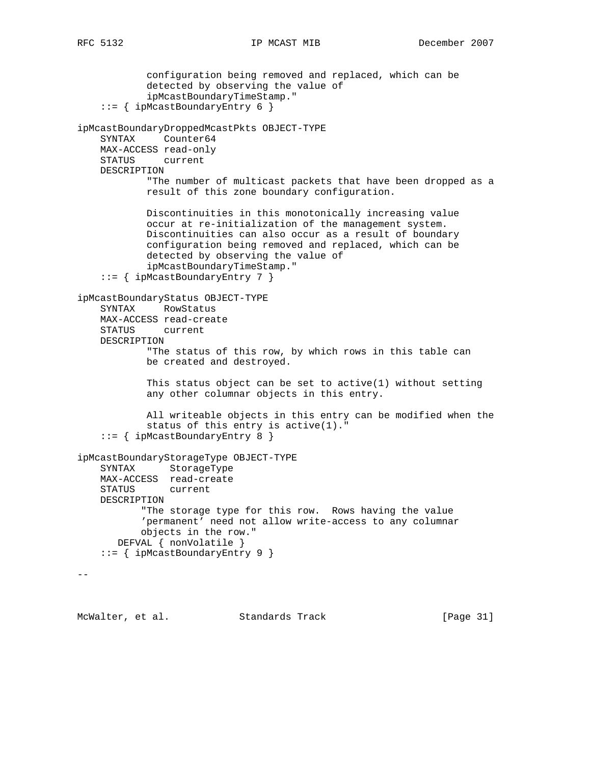configuration being removed and replaced, which can be detected by observing the value of ipMcastBoundaryTimeStamp." ::= { ipMcastBoundaryEntry 6 } ipMcastBoundaryDroppedMcastPkts OBJECT-TYPE SYNTAX Counter64 MAX-ACCESS read-only STATUS current DESCRIPTION "The number of multicast packets that have been dropped as a result of this zone boundary configuration. Discontinuities in this monotonically increasing value occur at re-initialization of the management system. Discontinuities can also occur as a result of boundary configuration being removed and replaced, which can be detected by observing the value of ipMcastBoundaryTimeStamp." ::= { ipMcastBoundaryEntry 7 } ipMcastBoundaryStatus OBJECT-TYPE SYNTAX RowStatus MAX-ACCESS read-create STATUS current DESCRIPTION "The status of this row, by which rows in this table can be created and destroyed. This status object can be set to active(1) without setting any other columnar objects in this entry. All writeable objects in this entry can be modified when the status of this entry is active(1)." ::= { ipMcastBoundaryEntry 8 } ipMcastBoundaryStorageType OBJECT-TYPE SYNTAX StorageType MAX-ACCESS read-create STATUS current DESCRIPTION "The storage type for this row. Rows having the value 'permanent' need not allow write-access to any columnar objects in the row." DEFVAL { nonVolatile } ::= { ipMcastBoundaryEntry 9 }  $- -$ 

McWalter, et al. Standards Track [Page 31]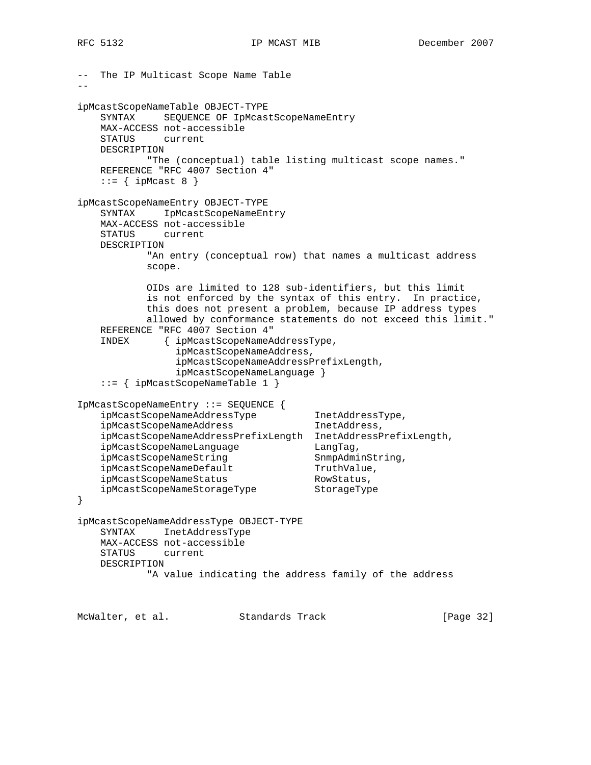```
-- The IP Multicast Scope Name Table
- -ipMcastScopeNameTable OBJECT-TYPE
    SYNTAX SEQUENCE OF IpMcastScopeNameEntry
    MAX-ACCESS not-accessible
    STATUS current
    DESCRIPTION
           "The (conceptual) table listing multicast scope names."
    REFERENCE "RFC 4007 Section 4"
   ::= { ipMcast 8 }
ipMcastScopeNameEntry OBJECT-TYPE
    SYNTAX IpMcastScopeNameEntry
    MAX-ACCESS not-accessible
    STATUS current
    DESCRIPTION
           "An entry (conceptual row) that names a multicast address
            scope.
            OIDs are limited to 128 sub-identifiers, but this limit
            is not enforced by the syntax of this entry. In practice,
            this does not present a problem, because IP address types
            allowed by conformance statements do not exceed this limit."
    REFERENCE "RFC 4007 Section 4"
    INDEX { ipMcastScopeNameAddressType,
                ipMcastScopeNameAddress,
                ipMcastScopeNameAddressPrefixLength,
                ipMcastScopeNameLanguage }
    ::= { ipMcastScopeNameTable 1 }
IpMcastScopeNameEntry ::= SEQUENCE {
 ipMcastScopeNameAddressType InetAddressType,
ipMcastScopeNameAddress inetAddress,
    ipMcastScopeNameAddressPrefixLength InetAddressPrefixLength,
ipMcastScopeNameLanguage LangTag,
ipMcastScopeNameString SnmpAdminString,
ipMcastScopeNameDefault TruthValue,
ipMcastScopeNameStatus RowStatus,
   ipMcastScopeNameStatus<br>ipMcastScopeNameStorageType StorageType
}
ipMcastScopeNameAddressType OBJECT-TYPE
    SYNTAX InetAddressType
    MAX-ACCESS not-accessible
    STATUS current
    DESCRIPTION
            "A value indicating the address family of the address
McWalter, et al. Standards Track [Page 32]
```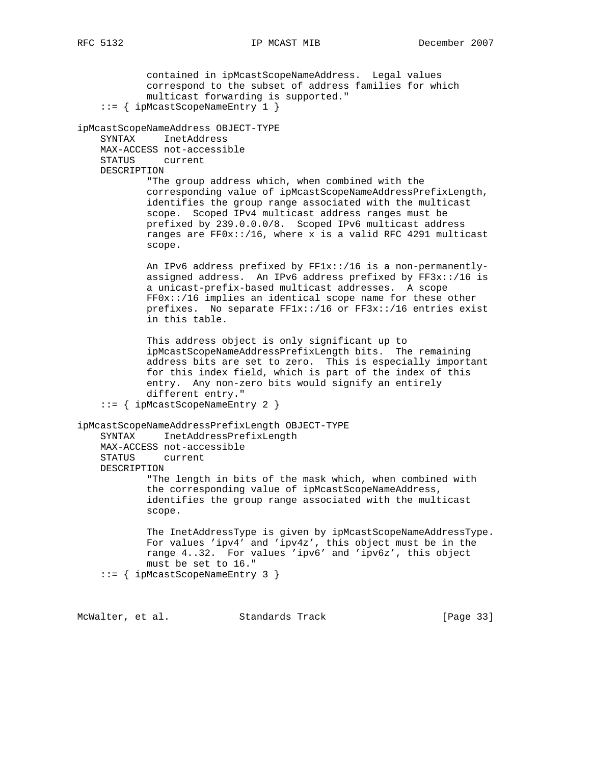contained in ipMcastScopeNameAddress. Legal values correspond to the subset of address families for which multicast forwarding is supported." ::= { ipMcastScopeNameEntry 1 } ipMcastScopeNameAddress OBJECT-TYPE SYNTAX InetAddress MAX-ACCESS not-accessible STATUS current DESCRIPTION "The group address which, when combined with the corresponding value of ipMcastScopeNameAddressPrefixLength, identifies the group range associated with the multicast scope. Scoped IPv4 multicast address ranges must be prefixed by 239.0.0.0/8. Scoped IPv6 multicast address ranges are FF0x::/16, where x is a valid RFC 4291 multicast scope. An IPv6 address prefixed by FF1x::/16 is a non-permanently assigned address. An IPv6 address prefixed by  $FF3x$ ::/16 is a unicast-prefix-based multicast addresses. A scope FF0x::/16 implies an identical scope name for these other prefixes. No separate FF1x::/16 or FF3x::/16 entries exist in this table. This address object is only significant up to ipMcastScopeNameAddressPrefixLength bits. The remaining address bits are set to zero. This is especially important for this index field, which is part of the index of this entry. Any non-zero bits would signify an entirely different entry." ::= { ipMcastScopeNameEntry 2 } ipMcastScopeNameAddressPrefixLength OBJECT-TYPE SYNTAX InetAddressPrefixLength MAX-ACCESS not-accessible STATUS current DESCRIPTION "The length in bits of the mask which, when combined with the corresponding value of ipMcastScopeNameAddress, identifies the group range associated with the multicast scope. The InetAddressType is given by ipMcastScopeNameAddressType. For values 'ipv4' and 'ipv4z', this object must be in the range 4..32. For values 'ipv6' and 'ipv6z', this object must be set to 16." ::= { ipMcastScopeNameEntry 3 }

McWalter, et al. Standards Track [Page 33]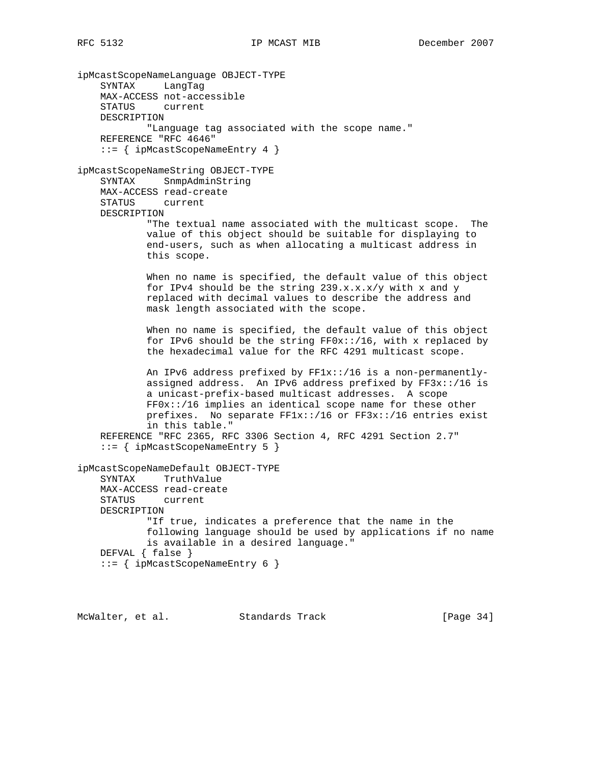ipMcastScopeNameLanguage OBJECT-TYPE SYNTAX LangTag MAX-ACCESS not-accessible STATUS current DESCRIPTION "Language tag associated with the scope name." REFERENCE "RFC 4646" ::= { ipMcastScopeNameEntry 4 } ipMcastScopeNameString OBJECT-TYPE SYNTAX SnmpAdminString MAX-ACCESS read-create STATUS current DESCRIPTION "The textual name associated with the multicast scope. The value of this object should be suitable for displaying to end-users, such as when allocating a multicast address in this scope. When no name is specified, the default value of this object for IPv4 should be the string  $239.x.x.x/y$  with x and y replaced with decimal values to describe the address and mask length associated with the scope. When no name is specified, the default value of this object for IPv6 should be the string FF0x::/16, with x replaced by the hexadecimal value for the RFC 4291 multicast scope. An IPv6 address prefixed by FF1x::/16 is a non-permanently assigned address. An IPv6 address prefixed by FF3x::/16 is a unicast-prefix-based multicast addresses. A scope FF0x::/16 implies an identical scope name for these other prefixes. No separate FF1x::/16 or FF3x::/16 entries exist in this table." REFERENCE "RFC 2365, RFC 3306 Section 4, RFC 4291 Section 2.7" ::= { ipMcastScopeNameEntry 5 } ipMcastScopeNameDefault OBJECT-TYPE SYNTAX TruthValue MAX-ACCESS read-create STATUS current DESCRIPTION "If true, indicates a preference that the name in the following language should be used by applications if no name is available in a desired language." DEFVAL { false } ::= { ipMcastScopeNameEntry 6 }

McWalter, et al. Standards Track [Page 34]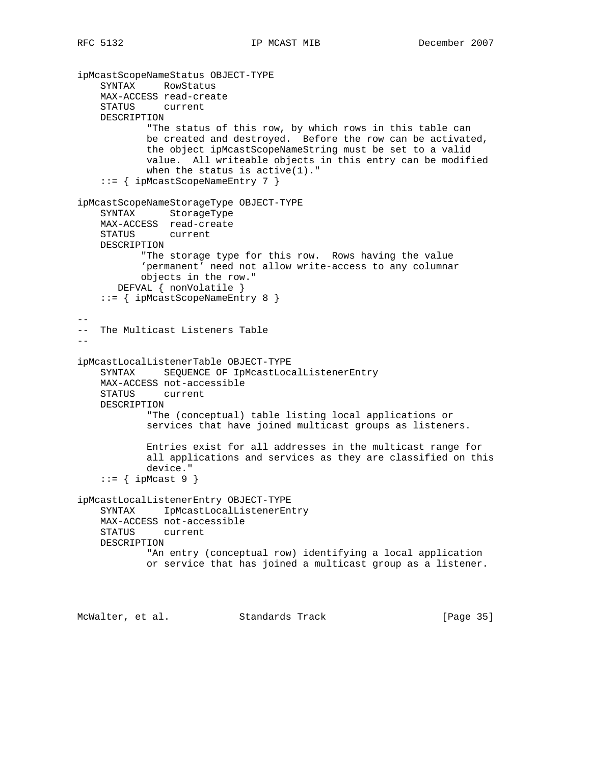```
ipMcastScopeNameStatus OBJECT-TYPE
     SYNTAX RowStatus
    MAX-ACCESS read-create
     STATUS current
    DESCRIPTION
             "The status of this row, by which rows in this table can
            be created and destroyed. Before the row can be activated,
            the object ipMcastScopeNameString must be set to a valid
            value. All writeable objects in this entry can be modified
            when the status is active(1)."
     ::= { ipMcastScopeNameEntry 7 }
ipMcastScopeNameStorageType OBJECT-TYPE
     SYNTAX StorageType
    MAX-ACCESS read-create
     STATUS current
    DESCRIPTION
           "The storage type for this row. Rows having the value
            'permanent' need not allow write-access to any columnar
           objects in the row."
       DEFVAL { nonVolatile }
     ::= { ipMcastScopeNameEntry 8 }
--
-- The Multicast Listeners Table
--
ipMcastLocalListenerTable OBJECT-TYPE
     SYNTAX SEQUENCE OF IpMcastLocalListenerEntry
    MAX-ACCESS not-accessible
    STATUS current
    DESCRIPTION
            "The (conceptual) table listing local applications or
            services that have joined multicast groups as listeners.
            Entries exist for all addresses in the multicast range for
            all applications and services as they are classified on this
            device."
    ::= { ipMcast 9 }
ipMcastLocalListenerEntry OBJECT-TYPE
    SYNTAX IpMcastLocalListenerEntry
    MAX-ACCESS not-accessible
    STATUS current
    DESCRIPTION
             "An entry (conceptual row) identifying a local application
            or service that has joined a multicast group as a listener.
```
McWalter, et al. Standards Track [Page 35]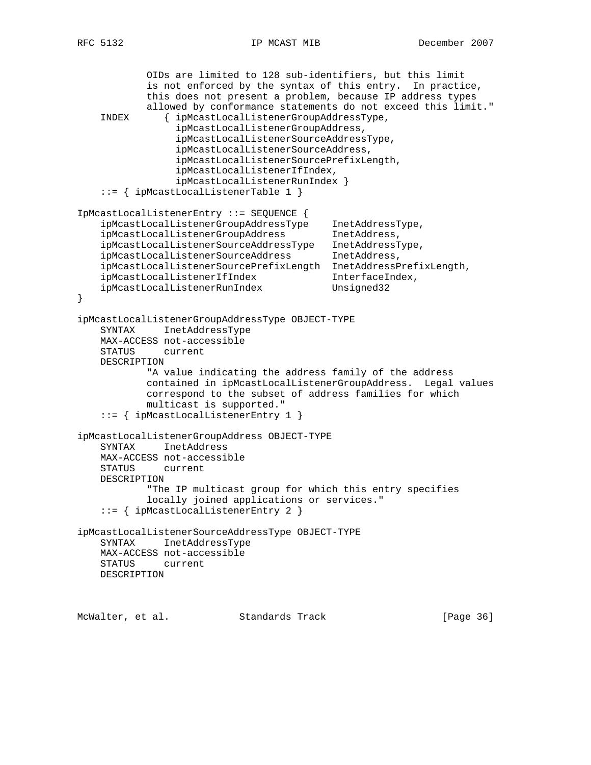```
 OIDs are limited to 128 sub-identifiers, but this limit
            is not enforced by the syntax of this entry. In practice,
            this does not present a problem, because IP address types
            allowed by conformance statements do not exceed this limit."
     INDEX { ipMcastLocalListenerGroupAddressType,
                 ipMcastLocalListenerGroupAddress,
                 ipMcastLocalListenerSourceAddressType,
                 ipMcastLocalListenerSourceAddress,
                 ipMcastLocalListenerSourcePrefixLength,
                 ipMcastLocalListenerIfIndex,
                 ipMcastLocalListenerRunIndex }
     ::= { ipMcastLocalListenerTable 1 }
IpMcastLocalListenerEntry ::= SEQUENCE {
 ipMcastLocalListenerGroupAddressType InetAddressType,
 ipMcastLocalListenerGroupAddress InetAddress,
     ipMcastLocalListenerSourceAddressType InetAddressType,
   ipMcastLocalListenerSourceAddress InetAddress,
    ipMcastLocalListenerSourcePrefixLength InetAddressPrefixLength,
 ipMcastLocalListenerIfIndex InterfaceIndex,
ipMcastLocalListenerRunIndex Unsigned32
}
ipMcastLocalListenerGroupAddressType OBJECT-TYPE
    SYNTAX InetAddressType
    MAX-ACCESS not-accessible
    STATUS current
    DESCRIPTION
            "A value indicating the address family of the address
            contained in ipMcastLocalListenerGroupAddress. Legal values
            correspond to the subset of address families for which
            multicast is supported."
     ::= { ipMcastLocalListenerEntry 1 }
ipMcastLocalListenerGroupAddress OBJECT-TYPE
    SYNTAX InetAddress
    MAX-ACCESS not-accessible
    STATUS current
    DESCRIPTION
            "The IP multicast group for which this entry specifies
            locally joined applications or services."
     ::= { ipMcastLocalListenerEntry 2 }
ipMcastLocalListenerSourceAddressType OBJECT-TYPE
    SYNTAX InetAddressType
    MAX-ACCESS not-accessible
    STATUS current
    DESCRIPTION
McWalter, et al. Standards Track [Page 36]
```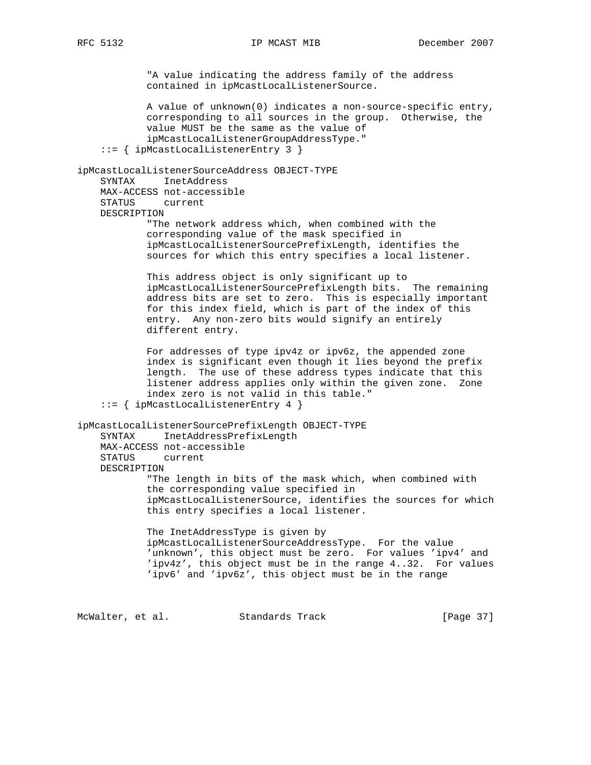"A value indicating the address family of the address contained in ipMcastLocalListenerSource. A value of unknown(0) indicates a non-source-specific entry, corresponding to all sources in the group. Otherwise, the value MUST be the same as the value of ipMcastLocalListenerGroupAddressType." ::= { ipMcastLocalListenerEntry 3 } ipMcastLocalListenerSourceAddress OBJECT-TYPE SYNTAX InetAddress MAX-ACCESS not-accessible STATUS current DESCRIPTION "The network address which, when combined with the corresponding value of the mask specified in ipMcastLocalListenerSourcePrefixLength, identifies the sources for which this entry specifies a local listener. This address object is only significant up to ipMcastLocalListenerSourcePrefixLength bits. The remaining address bits are set to zero. This is especially important for this index field, which is part of the index of this entry. Any non-zero bits would signify an entirely different entry. For addresses of type ipv4z or ipv6z, the appended zone index is significant even though it lies beyond the prefix length. The use of these address types indicate that this listener address applies only within the given zone. Zone index zero is not valid in this table." ::= { ipMcastLocalListenerEntry 4 } ipMcastLocalListenerSourcePrefixLength OBJECT-TYPE SYNTAX InetAddressPrefixLength MAX-ACCESS not-accessible STATUS current DESCRIPTION "The length in bits of the mask which, when combined with the corresponding value specified in ipMcastLocalListenerSource, identifies the sources for which this entry specifies a local listener. The InetAddressType is given by ipMcastLocalListenerSourceAddressType. For the value 'unknown', this object must be zero. For values 'ipv4' and 'ipv4z', this object must be in the range 4..32. For values 'ipv6' and 'ipv6z', this object must be in the range

McWalter, et al. Standards Track [Page 37]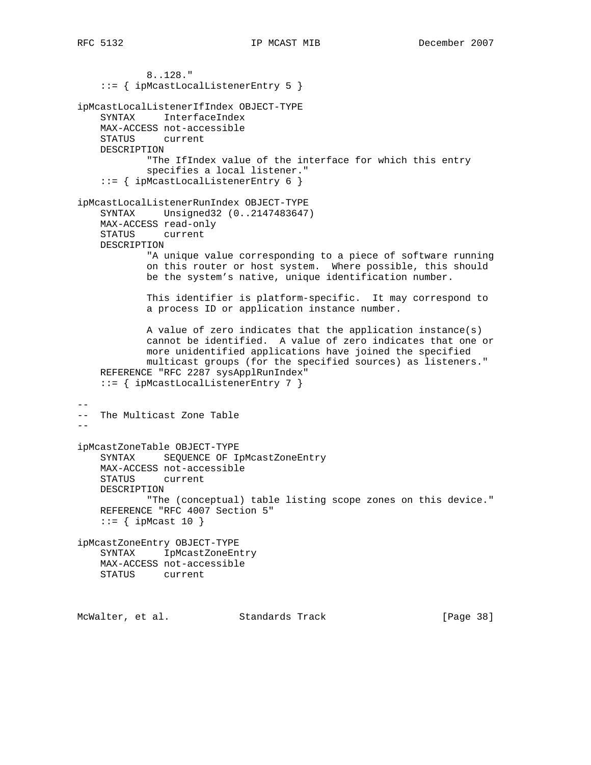8..128." ::= { ipMcastLocalListenerEntry 5 } ipMcastLocalListenerIfIndex OBJECT-TYPE SYNTAX InterfaceIndex MAX-ACCESS not-accessible STATUS current DESCRIPTION "The IfIndex value of the interface for which this entry specifies a local listener." ::= { ipMcastLocalListenerEntry 6 } ipMcastLocalListenerRunIndex OBJECT-TYPE SYNTAX Unsigned32 (0..2147483647) MAX-ACCESS read-only STATUS current DESCRIPTION "A unique value corresponding to a piece of software running on this router or host system. Where possible, this should be the system's native, unique identification number. This identifier is platform-specific. It may correspond to a process ID or application instance number. A value of zero indicates that the application instance(s) cannot be identified. A value of zero indicates that one or more unidentified applications have joined the specified multicast groups (for the specified sources) as listeners." REFERENCE "RFC 2287 sysApplRunIndex" ::= { ipMcastLocalListenerEntry 7 } -- -- The Multicast Zone Table - ipMcastZoneTable OBJECT-TYPE SYNTAX SEQUENCE OF IpMcastZoneEntry MAX-ACCESS not-accessible STATUS current DESCRIPTION "The (conceptual) table listing scope zones on this device." REFERENCE "RFC 4007 Section 5"  $::=$  { ipMcast 10 } ipMcastZoneEntry OBJECT-TYPE SYNTAX IpMcastZoneEntry MAX-ACCESS not-accessible STATUS current

McWalter, et al. Standards Track [Page 38]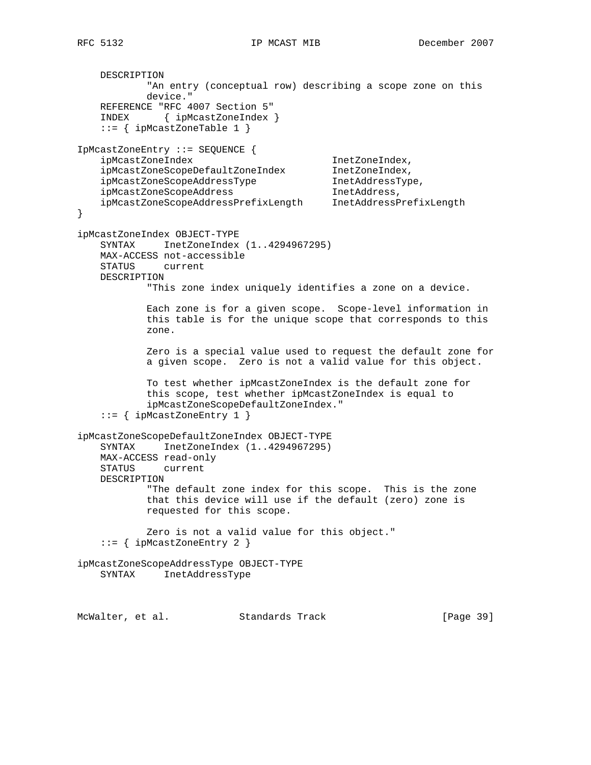```
 DESCRIPTION
            "An entry (conceptual row) describing a scope zone on this
            device."
    REFERENCE "RFC 4007 Section 5"
    INDEX { ipMcastZoneIndex }
    ::= { ipMcastZoneTable 1 }
IpMcastZoneEntry ::= SEQUENCE {
   ipMcastZoneIndex 1netZoneIndex,
    ipMcastZoneScopeDefaultZoneIndex InetZoneIndex,
 ipMcastZoneScopeAddressType InetAddressType,
ipMcastZoneScopeAddress inetAddress,
    ipMcastZoneScopeAddressPrefixLength InetAddressPrefixLength
}
ipMcastZoneIndex OBJECT-TYPE
   SYNTAX InetZoneIndex (1..4294967295)
    MAX-ACCESS not-accessible
    STATUS current
    DESCRIPTION
            "This zone index uniquely identifies a zone on a device.
            Each zone is for a given scope. Scope-level information in
            this table is for the unique scope that corresponds to this
            zone.
            Zero is a special value used to request the default zone for
            a given scope. Zero is not a valid value for this object.
            To test whether ipMcastZoneIndex is the default zone for
            this scope, test whether ipMcastZoneIndex is equal to
            ipMcastZoneScopeDefaultZoneIndex."
    ::= { ipMcastZoneEntry 1 }
ipMcastZoneScopeDefaultZoneIndex OBJECT-TYPE
    SYNTAX InetZoneIndex (1..4294967295)
    MAX-ACCESS read-only
    STATUS current
    DESCRIPTION
            "The default zone index for this scope. This is the zone
            that this device will use if the default (zero) zone is
            requested for this scope.
            Zero is not a valid value for this object."
    ::= { ipMcastZoneEntry 2 }
ipMcastZoneScopeAddressType OBJECT-TYPE
    SYNTAX InetAddressType
```
McWalter, et al. Standards Track [Page 39]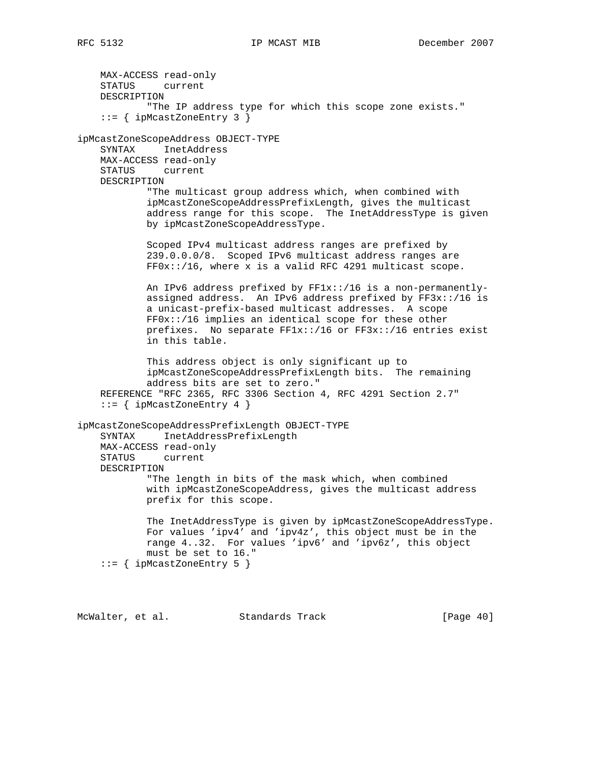MAX-ACCESS read-only STATUS current DESCRIPTION "The IP address type for which this scope zone exists." ::= { ipMcastZoneEntry 3 } ipMcastZoneScopeAddress OBJECT-TYPE SYNTAX InetAddress MAX-ACCESS read-only STATUS current DESCRIPTION "The multicast group address which, when combined with ipMcastZoneScopeAddressPrefixLength, gives the multicast address range for this scope. The InetAddressType is given by ipMcastZoneScopeAddressType. Scoped IPv4 multicast address ranges are prefixed by 239.0.0.0/8. Scoped IPv6 multicast address ranges are FF0x::/16, where x is a valid RFC 4291 multicast scope. An IPv6 address prefixed by FF1x::/16 is a non-permanently assigned address. An IPv6 address prefixed by FF3x::/16 is a unicast-prefix-based multicast addresses. A scope FF0x::/16 implies an identical scope for these other prefixes. No separate FF1x::/16 or FF3x::/16 entries exist in this table. This address object is only significant up to ipMcastZoneScopeAddressPrefixLength bits. The remaining address bits are set to zero." REFERENCE "RFC 2365, RFC 3306 Section 4, RFC 4291 Section 2.7"  $::=$  { ipMcastZoneEntry 4 } ipMcastZoneScopeAddressPrefixLength OBJECT-TYPE

 SYNTAX InetAddressPrefixLength MAX-ACCESS read-only STATUS current DESCRIPTION "The length in bits of the mask which, when combined with ipMcastZoneScopeAddress, gives the multicast address prefix for this scope. The InetAddressType is given by ipMcastZoneScopeAddressType.

 For values 'ipv4' and 'ipv4z', this object must be in the range 4..32. For values 'ipv6' and 'ipv6z', this object must be set to 16." ::= { ipMcastZoneEntry 5 }

McWalter, et al. Standards Track [Page 40]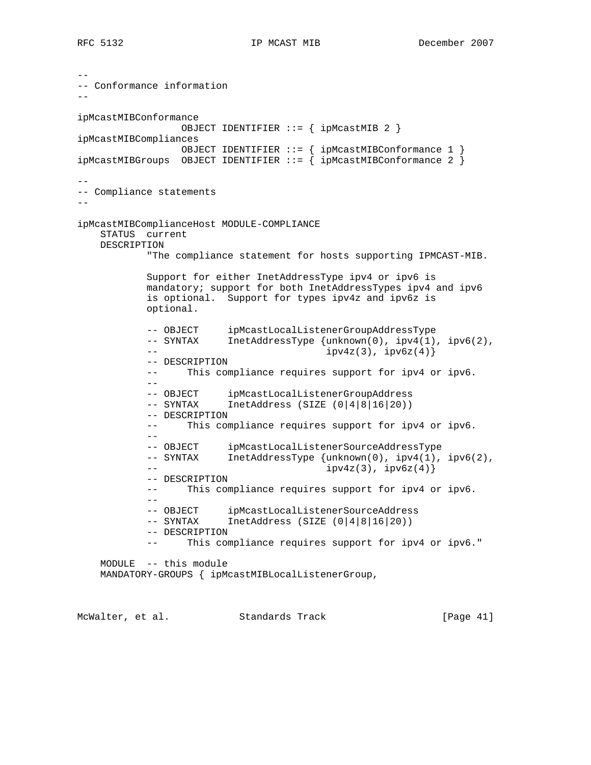```
--
-- Conformance information
--
ipMcastMIBConformance
                 OBJECT IDENTIFIER ::= { ipMcastMIB 2 }
ipMcastMIBCompliances
                OBJECT IDENTIFIER ::= { ipMcastMIBConformance 1 }
ipMcastMIBGroups OBJECT IDENTIFIER ::= { ipMcastMIBConformance 2 }
--
-- Compliance statements
--
ipMcastMIBComplianceHost MODULE-COMPLIANCE
    STATUS current
    DESCRIPTION
            "The compliance statement for hosts supporting IPMCAST-MIB.
            Support for either InetAddressType ipv4 or ipv6 is
            mandatory; support for both InetAddressTypes ipv4 and ipv6
            is optional. Support for types ipv4z and ipv6z is
            optional.
 -- OBJECT ipMcastLocalListenerGroupAddressType
 -- SYNTAX InetAddressType {unknown(0), ipv4(1), ipv6(2),
           - ipv4z(3), ipv4z(3), ipv6z(4)}
            -- DESCRIPTION
            -- This compliance requires support for ipv4 or ipv6.
 --
 -- OBJECT ipMcastLocalListenerGroupAddress
 -- SYNTAX InetAddress (SIZE (0|4|8|16|20))
            -- DESCRIPTION
            -- This compliance requires support for ipv4 or ipv6.
 --
            -- OBJECT ipMcastLocalListenerSourceAddressType
            -- SYNTAX InetAddressType {unknown(0), ipv4(1), ipv6(2),
                                         ipv4z(3), ipv6z(4)}
            -- DESCRIPTION
            -- This compliance requires support for ipv4 or ipv6.
 --
           -- OBJECT ipMcastLocalListenerSourceAddress<br>-- SYNTAX InetAddress (SIZE (0|4|8|16|20))
                       IntAddress (SIZE (0|4|8|16|20)) -- DESCRIPTION
            -- This compliance requires support for ipv4 or ipv6."
    MODULE -- this module
    MANDATORY-GROUPS { ipMcastMIBLocalListenerGroup,
```
McWalter, et al. Standards Track [Page 41]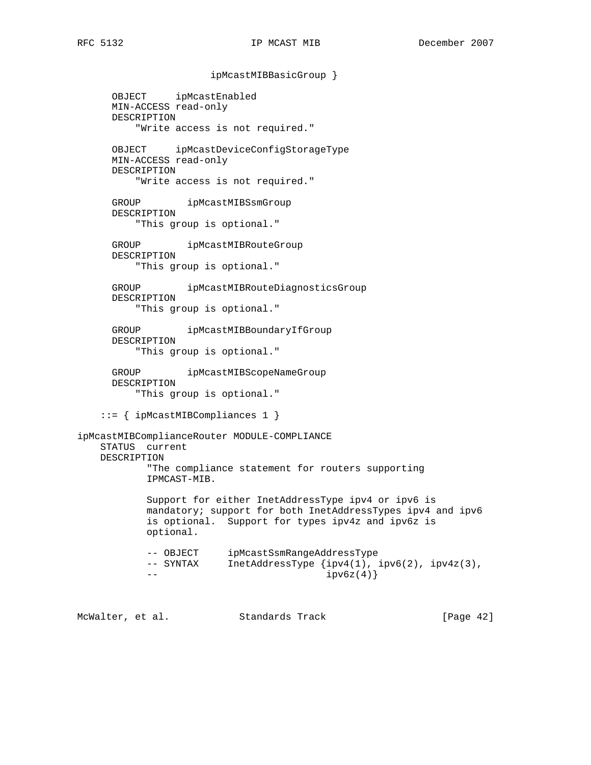ipMcastMIBBasicGroup }

 OBJECT ipMcastEnabled MIN-ACCESS read-only DESCRIPTION "Write access is not required." OBJECT ipMcastDeviceConfigStorageType MIN-ACCESS read-only DESCRIPTION "Write access is not required." GROUP ipMcastMIBSsmGroup DESCRIPTION "This group is optional." GROUP ipMcastMIBRouteGroup DESCRIPTION "This group is optional." GROUP ipMcastMIBRouteDiagnosticsGroup DESCRIPTION "This group is optional." GROUP ipMcastMIBBoundaryIfGroup DESCRIPTION "This group is optional." GROUP ipMcastMIBScopeNameGroup DESCRIPTION "This group is optional." ::= { ipMcastMIBCompliances 1 } ipMcastMIBComplianceRouter MODULE-COMPLIANCE STATUS current DESCRIPTION "The compliance statement for routers supporting IPMCAST-MIB. Support for either InetAddressType ipv4 or ipv6 is mandatory; support for both InetAddressTypes ipv4 and ipv6 is optional. Support for types ipv4z and ipv6z is optional. -- OBJECT ipMcastSsmRangeAddressType -- SYNTAX InetAddressType {ipv4(1), ipv6(2), ipv4z(3),  $--- \, 1pv6z(4)$ 

McWalter, et al. Standards Track [Page 42]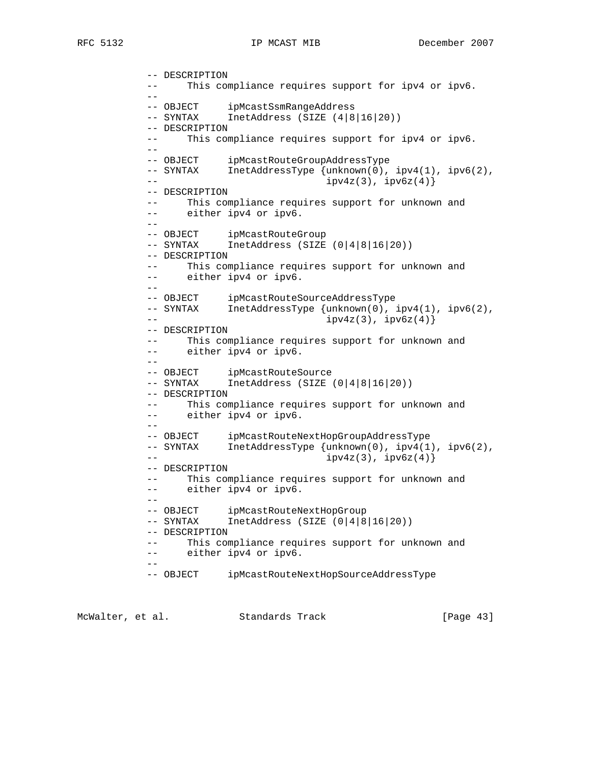```
 -- DESCRIPTION
           -- This compliance requires support for ipv4 or ipv6.
          --<br>-- OBJECT
 -- OBJECT ipMcastSsmRangeAddress
 -- SYNTAX InetAddress (SIZE (4|8|16|20))
           -- DESCRIPTION
           -- This compliance requires support for ipv4 or ipv6.
 --
           -- OBJECT ipMcastRouteGroupAddressType
           -- SYNTAX InetAddressType {unknown(0), ipv4(1), ipv6(2),
          - ipv4z(3), ipv6z(4)}
           -- DESCRIPTION
           -- This compliance requires support for unknown and
           -- either ipv4 or ipv6.
 --
-- OBJECT ipMcastRouteGroup
 -- SYNTAX InetAddress (SIZE (0|4|8|16|20))
           -- DESCRIPTION
           -- This compliance requires support for unknown and
           -- either ipv4 or ipv6.
 --
           -- OBJECT ipMcastRouteSourceAddressType
          -- SYNTAX InetAddressType {unknown(0), ipv4(1), ipv6(2),
          -ipv4z(3), ipv6z(4)}
           -- DESCRIPTION
               This compliance requires support for unknown and
           -- either ipv4 or ipv6.
 --
-- OBJECT ipMcastRouteSource
 -- SYNTAX InetAddress (SIZE (0|4|8|16|20))
           -- DESCRIPTION
           -- This compliance requires support for unknown and
           -- either ipv4 or ipv6.
          --- OBJECT ipMcastRouteNextHopGroupAddressType
          -- SYNTAX InetAddressType {unknown(0), ipv4(1), ipv6(2),
          - ipv4z(3), ipv6z(4)}
           -- DESCRIPTION
           -- This compliance requires support for unknown and
           -- either ipv4 or ipv6.
 --
          -- OBJECT ipMcastRouteNextHopGroup<br>-- SYNTAX InetAddress (SIZE (0|4|8
                     InetAddress (SIZE (0|4|8|16|20)) -- DESCRIPTION
           -- This compliance requires support for unknown and
           -- either ipv4 or ipv6.
 --
          -- OBJECT ipMcastRouteNextHopSourceAddressType
```
McWalter, et al. Standards Track [Page 43]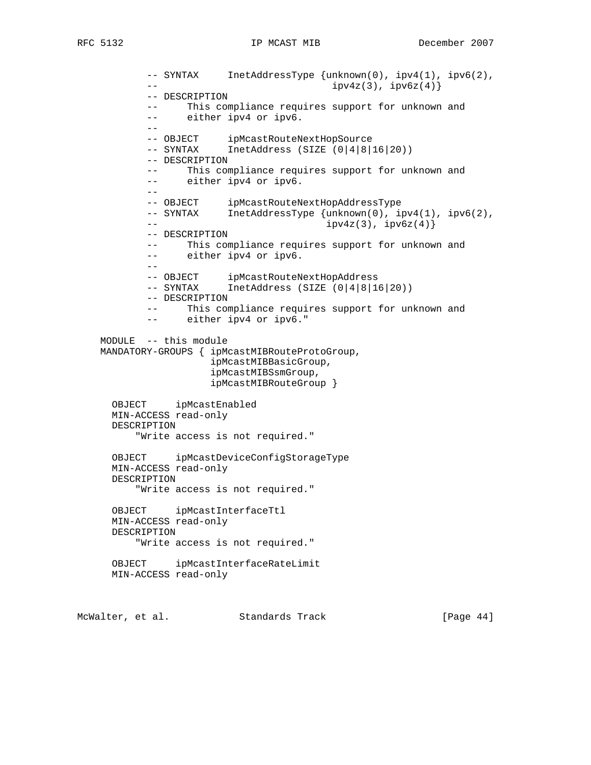-- SYNTAX InetAddressType {unknown(0), ipv4(1), ipv6(2),  $-$  ipv4z(3),  $ipv4z(3)$ ,  $ipv6z(4)$ } -- DESCRIPTION -- This compliance requires support for unknown and -- either ipv4 or ipv6. -- -- OBJECT ipMcastRouteNextHopSource -- SYNTAX InetAddress (SIZE (0|4|8|16|20)) -- DESCRIPTION -- This compliance requires support for unknown and -- either ipv4 or ipv6. -- -- OBJECT ipMcastRouteNextHopAddressType -- SYNTAX InetAddressType {unknown(0), ipv4(1), ipv6(2),  $ipv4z(3)$ ,  $ipv6z(4)$ } -- DESCRIPTION -- This compliance requires support for unknown and -- either ipv4 or ipv6. -- -- OBJECT ipMcastRouteNextHopAddress -- SYNTAX InetAddress (SIZE (0|4|8|16|20)) -- DESCRIPTION -- This compliance requires support for unknown and -- either ipv4 or ipv6." MODULE -- this module MANDATORY-GROUPS { ipMcastMIBRouteProtoGroup, ipMcastMIBBasicGroup, ipMcastMIBSsmGroup, ipMcastMIBRouteGroup } OBJECT ipMcastEnabled MIN-ACCESS read-only DESCRIPTION "Write access is not required." OBJECT ipMcastDeviceConfigStorageType MIN-ACCESS read-only DESCRIPTION "Write access is not required." OBJECT ipMcastInterfaceTtl MIN-ACCESS read-only DESCRIPTION "Write access is not required." OBJECT ipMcastInterfaceRateLimit MIN-ACCESS read-only

McWalter, et al. Standards Track [Page 44]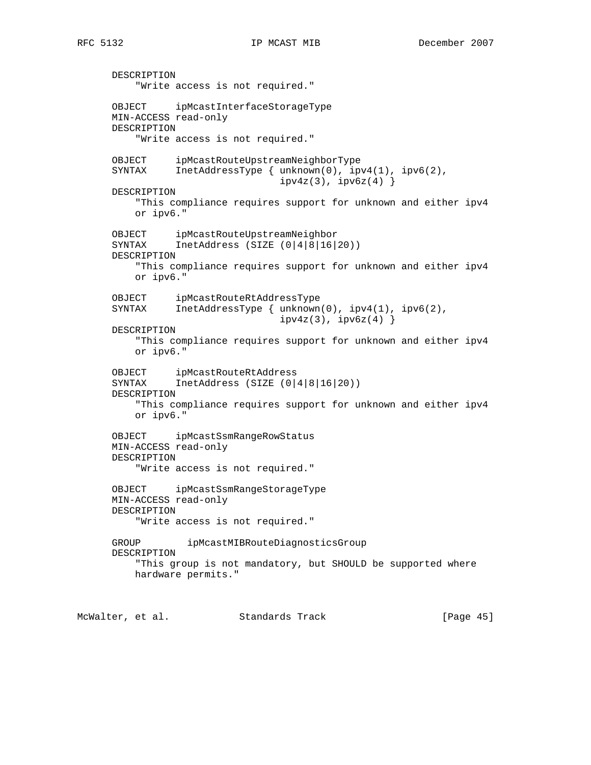DESCRIPTION "Write access is not required." OBJECT ipMcastInterfaceStorageType MIN-ACCESS read-only DESCRIPTION "Write access is not required." OBJECT ipMcastRouteUpstreamNeighborType SYNTAX InetAddressType { unknown(0), ipv4(1), ipv6(2),  $ipv4z(3)$ ,  $ipv6z(4)$ } DESCRIPTION "This compliance requires support for unknown and either ipv4 or ipv6." OBJECT ipMcastRouteUpstreamNeighbor SYNTAX InetAddress (SIZE (0|4|8|16|20)) DESCRIPTION "This compliance requires support for unknown and either ipv4 or ipv6." OBJECT ipMcastRouteRtAddressType SYNTAX InetAddressType { unknown(0), ipv4(1), ipv6(2),  $ipv4z(3)$ ,  $ipv6z(4)$ } DESCRIPTION "This compliance requires support for unknown and either ipv4 or ipv6." OBJECT ipMcastRouteRtAddress SYNTAX InetAddress (SIZE (0|4|8|16|20)) DESCRIPTION "This compliance requires support for unknown and either ipv4 or ipv6." OBJECT ipMcastSsmRangeRowStatus MIN-ACCESS read-only DESCRIPTION "Write access is not required." OBJECT ipMcastSsmRangeStorageType MIN-ACCESS read-only DESCRIPTION "Write access is not required." GROUP ipMcastMIBRouteDiagnosticsGroup DESCRIPTION "This group is not mandatory, but SHOULD be supported where hardware permits."

McWalter, et al. Standards Track [Page 45]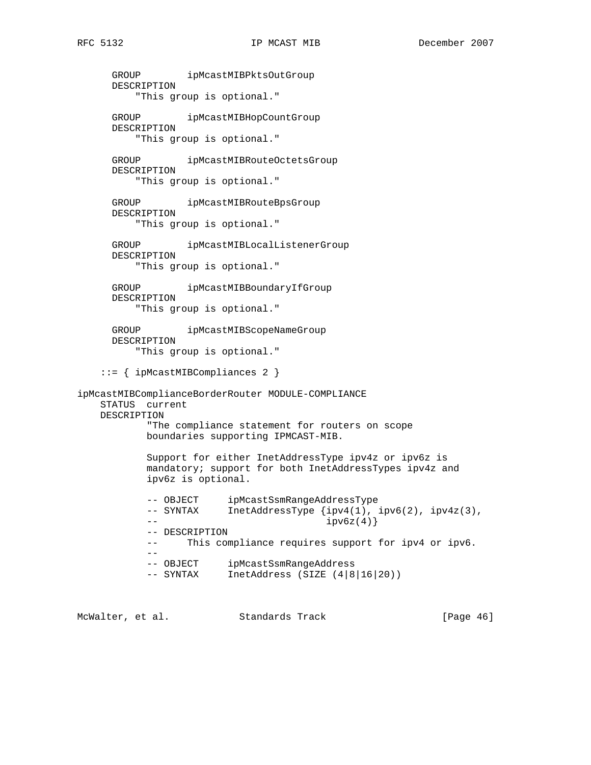GROUP ipMcastMIBPktsOutGroup DESCRIPTION "This group is optional." GROUP ipMcastMIBHopCountGroup DESCRIPTION "This group is optional." GROUP ipMcastMIBRouteOctetsGroup DESCRIPTION "This group is optional." GROUP ipMcastMIBRouteBpsGroup DESCRIPTION "This group is optional." GROUP ipMcastMIBLocalListenerGroup DESCRIPTION "This group is optional." GROUP ipMcastMIBBoundaryIfGroup DESCRIPTION "This group is optional." GROUP ipMcastMIBScopeNameGroup DESCRIPTION "This group is optional." ::= { ipMcastMIBCompliances 2 } ipMcastMIBComplianceBorderRouter MODULE-COMPLIANCE STATUS current DESCRIPTION "The compliance statement for routers on scope boundaries supporting IPMCAST-MIB. Support for either InetAddressType ipv4z or ipv6z is mandatory; support for both InetAddressTypes ipv4z and ipv6z is optional. -- OBJECT ipMcastSsmRangeAddressType -- SYNTAX InetAddressType {ipv4(1), ipv6(2), ipv4z(3),  $- ipv6z(4)$ } -- DESCRIPTION -- This compliance requires support for ipv4 or ipv6. --<br>-- OBJECT ipMcastSsmRangeAddress -- SYNTAX InetAddress (SIZE (4|8|16|20))

McWalter, et al. Standards Track [Page 46]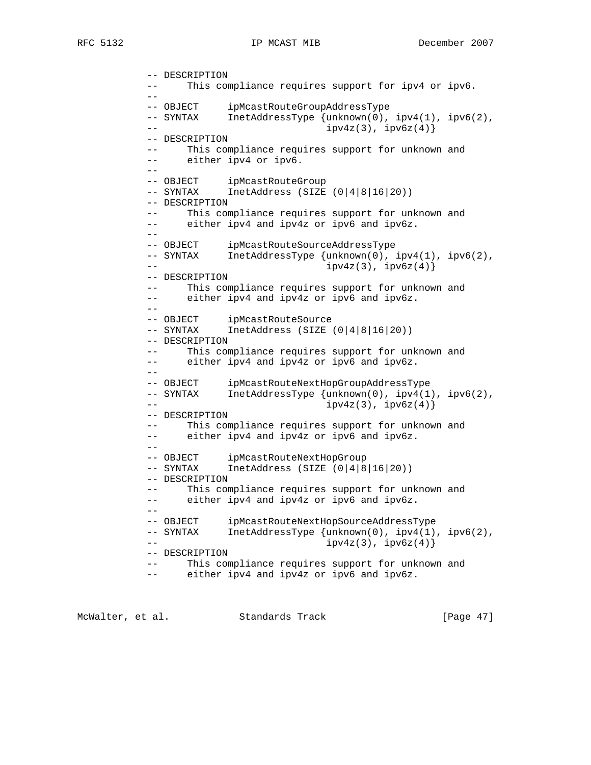```
 -- DESCRIPTION
           -- This compliance requires support for ipv4 or ipv6.
          - -- OBJECT ipMcastRouteGroupAddressType
 -- SYNTAX InetAddressType {unknown(0), ipv4(1), ipv6(2),
          - ipv4z(3), ipv4z(3), ipv6z(4)}
           -- DESCRIPTION
           -- This compliance requires support for unknown and
           -- either ipv4 or ipv6.
          --- OBJECT ipMcastRouteGroup<br>-- SYNTAX InetAddress (SIZE
                     IntAddress (SIZE (0|4|8|16|20)) -- DESCRIPTION
           -- This compliance requires support for unknown and
               either ipv4 and ipv4z or ipv6 and ipv6z.
 --
           -- OBJECT ipMcastRouteSourceAddressType
           -- SYNTAX InetAddressType {unknown(0), ipv4(1), ipv6(2),
          - ipv4z(3), ipv6z(4)}
           -- DESCRIPTION
           -- This compliance requires support for unknown and
          -- either ipv4 and ipv4z or ipv6 and ipv6z.
 --
           -- OBJECT ipMcastRouteSource
           -- SYNTAX InetAddress (SIZE (0|4|8|16|20))
           -- DESCRIPTION
           -- This compliance requires support for unknown and
          -- either ipv4 and ipv4z or ipv6 and ipv6z.
 --
          -- OBJECT ipMcastRouteNextHopGroupAddressType<br>-- SYNTAX InetAddressType {unknown(0), ipv4(1)
                     IntAddressType {unknown(0), ipv4(1), ipv6(2)}, -- ipv4z(3), ipv6z(4)}
           -- DESCRIPTION
           -- This compliance requires support for unknown and
          -- either ipv4 and ipv4z or ipv6 and ipv6z.
 --
 -- OBJECT ipMcastRouteNextHopGroup
 -- SYNTAX InetAddress (SIZE (0|4|8|16|20))
           -- DESCRIPTION
           -- This compliance requires support for unknown and
           -- either ipv4 and ipv4z or ipv6 and ipv6z.
 --
           -- OBJECT ipMcastRouteNextHopSourceAddressType
          -- SYNTAX InetAddressType {unknown(0), ipv4(1), ipv6(2),
          - ipv4z(3), ipv4z(3), ipv6z(4)}
           -- DESCRIPTION
           -- This compliance requires support for unknown and
           -- either ipv4 and ipv4z or ipv6 and ipv6z.
```
McWalter, et al. Standards Track [Page 47]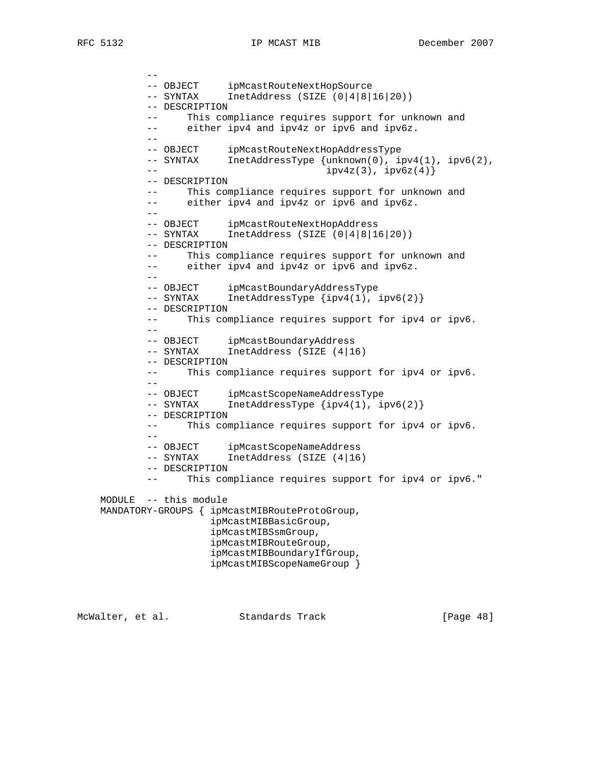-- -- OBJECT ipMcastRouteNextHopSource -- SYNTAX InetAddress (SIZE (0|4|8|16|20)) -- DESCRIPTION -- This compliance requires support for unknown and -- either ipv4 and ipv4z or ipv6 and ipv6z. -- -- OBJECT ipMcastRouteNextHopAddressType -- SYNTAX InetAddressType {unknown(0), ipv4(1), ipv6(2),  $-$  ipv4z(3),  $ipv6z(4)$ } -- DESCRIPTION -- This compliance requires support for unknown and -- either ipv4 and ipv4z or ipv6 and ipv6z. -- -- OBJECT ipMcastRouteNextHopAddress<br>-- SYNTAX InetAddress (SIZE (0|4|8|10  $IntAddress (SIZE (0|4|8|16|20))$  -- DESCRIPTION -- This compliance requires support for unknown and -- either ipv4 and ipv4z or ipv6 and ipv6z. -- -- OBJECT ipMcastBoundaryAddressType -- SYNTAX InetAddressType {ipv4(1), ipv6(2)} -- DESCRIPTION -- This compliance requires support for ipv4 or ipv6. -- -- OBJECT ipMcastBoundaryAddress -- SYNTAX InetAddress (SIZE (4|16) -- DESCRIPTION -- This compliance requires support for ipv4 or ipv6. -- -- OBJECT ipMcastScopeNameAddressType -- SYNTAX InetAddressType {ipv4(1), ipv6(2)} -- DESCRIPTION -- This compliance requires support for ipv4 or ipv6. -- -- OBJECT ipMcastScopeNameAddress<br>-- SYNTAX InetAddress (SIZE (4|16 InetAddress (SIZE  $(4|16)$  -- DESCRIPTION This compliance requires support for ipv4 or ipv6." MODULE -- this module MANDATORY-GROUPS { ipMcastMIBRouteProtoGroup, ipMcastMIBBasicGroup, ipMcastMIBSsmGroup, ipMcastMIBRouteGroup, ipMcastMIBBoundaryIfGroup, ipMcastMIBScopeNameGroup }

McWalter, et al. Standards Track [Page 48]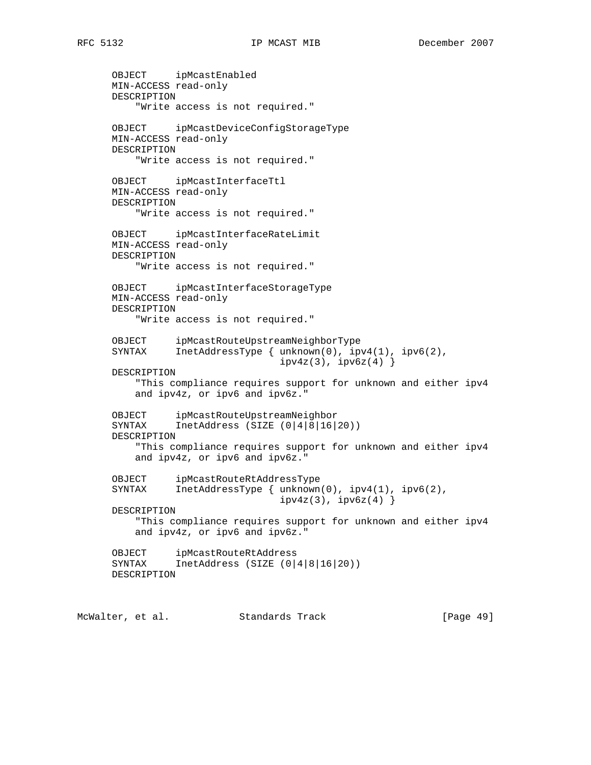OBJECT ipMcastEnabled MIN-ACCESS read-only DESCRIPTION "Write access is not required." OBJECT ipMcastDeviceConfigStorageType MIN-ACCESS read-only DESCRIPTION "Write access is not required." OBJECT ipMcastInterfaceTtl MIN-ACCESS read-only DESCRIPTION "Write access is not required." OBJECT ipMcastInterfaceRateLimit MIN-ACCESS read-only DESCRIPTION "Write access is not required." OBJECT ipMcastInterfaceStorageType MIN-ACCESS read-only DESCRIPTION "Write access is not required." OBJECT ipMcastRouteUpstreamNeighborType SYNTAX InetAddressType { unknown(0), ipv4(1), ipv6(2),  $ipv4z(3)$ ,  $ipv6z(4)$ } DESCRIPTION "This compliance requires support for unknown and either ipv4 and ipv4z, or ipv6 and ipv6z." OBJECT ipMcastRouteUpstreamNeighbor SYNTAX InetAddress (SIZE (0|4|8|16|20)) DESCRIPTION "This compliance requires support for unknown and either ipv4 and ipv4z, or ipv6 and ipv6z." OBJECT ipMcastRouteRtAddressType SYNTAX InetAddressType { unknown(0), ipv4(1), ipv6(2),  $ipv4z(3)$ ,  $ipv6z(4)$ } DESCRIPTION "This compliance requires support for unknown and either ipv4 and ipv4z, or ipv6 and ipv6z." OBJECT ipMcastRouteRtAddress SYNTAX InetAddress (SIZE (0|4|8|16|20)) DESCRIPTION

McWalter, et al. Standards Track [Page 49]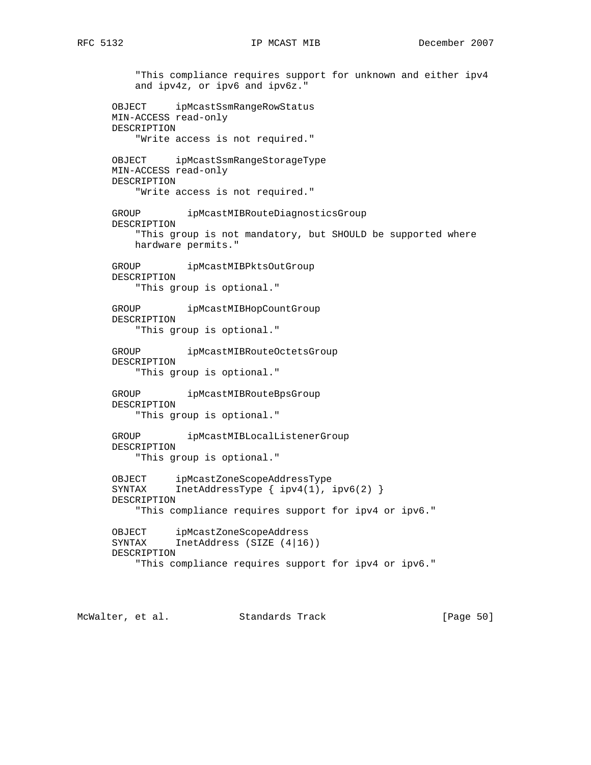"This compliance requires support for unknown and either ipv4 and ipv4z, or ipv6 and ipv6z." OBJECT ipMcastSsmRangeRowStatus MIN-ACCESS read-only DESCRIPTION "Write access is not required." OBJECT ipMcastSsmRangeStorageType MIN-ACCESS read-only DESCRIPTION "Write access is not required." GROUP ipMcastMIBRouteDiagnosticsGroup DESCRIPTION "This group is not mandatory, but SHOULD be supported where hardware permits." GROUP ipMcastMIBPktsOutGroup DESCRIPTION "This group is optional." GROUP ipMcastMIBHopCountGroup DESCRIPTION "This group is optional." GROUP ipMcastMIBRouteOctetsGroup DESCRIPTION "This group is optional." GROUP ipMcastMIBRouteBpsGroup DESCRIPTION "This group is optional." GROUP ipMcastMIBLocalListenerGroup DESCRIPTION "This group is optional." OBJECT ipMcastZoneScopeAddressType SYNTAX InetAddressType { ipv4(1), ipv6(2) } DESCRIPTION "This compliance requires support for ipv4 or ipv6." OBJECT ipMcastZoneScopeAddress SYNTAX InetAddress (SIZE (4|16)) DESCRIPTION "This compliance requires support for ipv4 or ipv6."

McWalter, et al. Standards Track [Page 50]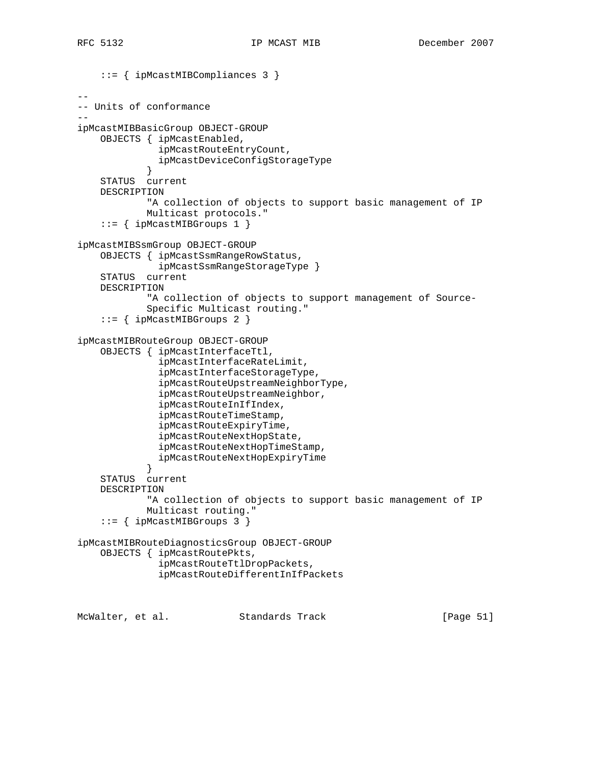```
 ::= { ipMcastMIBCompliances 3 }
--
-- Units of conformance
--
ipMcastMIBBasicGroup OBJECT-GROUP
     OBJECTS { ipMcastEnabled,
               ipMcastRouteEntryCount,
               ipMcastDeviceConfigStorageType
 }
     STATUS current
    DESCRIPTION
             "A collection of objects to support basic management of IP
             Multicast protocols."
     ::= { ipMcastMIBGroups 1 }
ipMcastMIBSsmGroup OBJECT-GROUP
     OBJECTS { ipMcastSsmRangeRowStatus,
               ipMcastSsmRangeStorageType }
     STATUS current
     DESCRIPTION
             "A collection of objects to support management of Source-
             Specific Multicast routing."
     ::= { ipMcastMIBGroups 2 }
ipMcastMIBRouteGroup OBJECT-GROUP
     OBJECTS { ipMcastInterfaceTtl,
               ipMcastInterfaceRateLimit,
               ipMcastInterfaceStorageType,
               ipMcastRouteUpstreamNeighborType,
               ipMcastRouteUpstreamNeighbor,
               ipMcastRouteInIfIndex,
               ipMcastRouteTimeStamp,
               ipMcastRouteExpiryTime,
               ipMcastRouteNextHopState,
               ipMcastRouteNextHopTimeStamp,
             ipMcastRouteNextHopExpiryTime
 }
     STATUS current
     DESCRIPTION
             "A collection of objects to support basic management of IP
             Multicast routing."
     ::= { ipMcastMIBGroups 3 }
ipMcastMIBRouteDiagnosticsGroup OBJECT-GROUP
     OBJECTS { ipMcastRoutePkts,
               ipMcastRouteTtlDropPackets,
               ipMcastRouteDifferentInIfPackets
```
McWalter, et al. Standards Track [Page 51]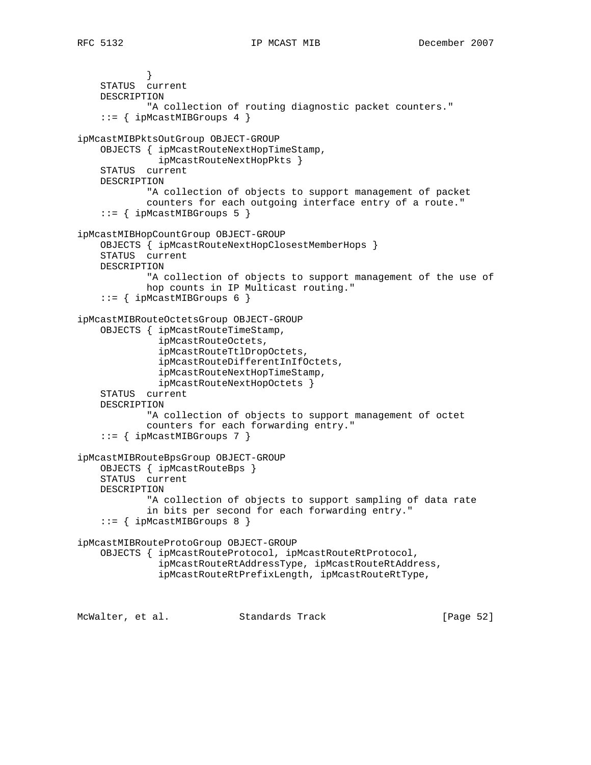} STATUS current DESCRIPTION "A collection of routing diagnostic packet counters."  $::=$  { ipMcastMIBGroups 4 } ipMcastMIBPktsOutGroup OBJECT-GROUP OBJECTS { ipMcastRouteNextHopTimeStamp, ipMcastRouteNextHopPkts } STATUS current DESCRIPTION "A collection of objects to support management of packet counters for each outgoing interface entry of a route."  $::=$  { ipMcastMIBGroups 5 } ipMcastMIBHopCountGroup OBJECT-GROUP OBJECTS { ipMcastRouteNextHopClosestMemberHops } STATUS current DESCRIPTION "A collection of objects to support management of the use of hop counts in IP Multicast routing." ::= { ipMcastMIBGroups 6 } ipMcastMIBRouteOctetsGroup OBJECT-GROUP OBJECTS { ipMcastRouteTimeStamp, ipMcastRouteOctets, ipMcastRouteTtlDropOctets, ipMcastRouteDifferentInIfOctets, ipMcastRouteNextHopTimeStamp, ipMcastRouteNextHopOctets } STATUS current DESCRIPTION "A collection of objects to support management of octet counters for each forwarding entry." ::= { ipMcastMIBGroups 7 } ipMcastMIBRouteBpsGroup OBJECT-GROUP OBJECTS { ipMcastRouteBps } STATUS current DESCRIPTION "A collection of objects to support sampling of data rate in bits per second for each forwarding entry." ::= { ipMcastMIBGroups 8 } ipMcastMIBRouteProtoGroup OBJECT-GROUP OBJECTS { ipMcastRouteProtocol, ipMcastRouteRtProtocol, ipMcastRouteRtAddressType, ipMcastRouteRtAddress, ipMcastRouteRtPrefixLength, ipMcastRouteRtType,

McWalter, et al. Standards Track [Page 52]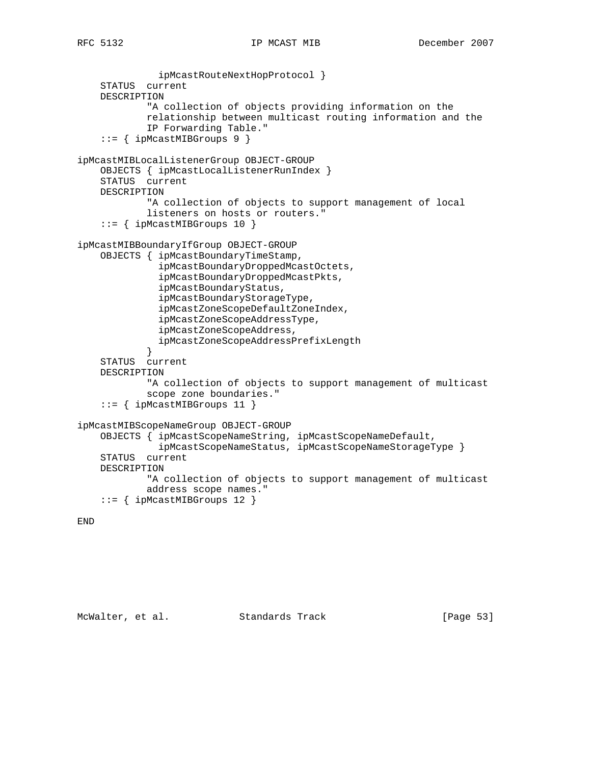```
 ipMcastRouteNextHopProtocol }
     STATUS current
     DESCRIPTION
             "A collection of objects providing information on the
             relationship between multicast routing information and the
             IP Forwarding Table."
     ::= { ipMcastMIBGroups 9 }
ipMcastMIBLocalListenerGroup OBJECT-GROUP
     OBJECTS { ipMcastLocalListenerRunIndex }
     STATUS current
     DESCRIPTION
             "A collection of objects to support management of local
             listeners on hosts or routers."
     ::= { ipMcastMIBGroups 10 }
ipMcastMIBBoundaryIfGroup OBJECT-GROUP
     OBJECTS { ipMcastBoundaryTimeStamp,
               ipMcastBoundaryDroppedMcastOctets,
               ipMcastBoundaryDroppedMcastPkts,
               ipMcastBoundaryStatus,
               ipMcastBoundaryStorageType,
               ipMcastZoneScopeDefaultZoneIndex,
               ipMcastZoneScopeAddressType,
               ipMcastZoneScopeAddress,
             ipMcastZoneScopeAddressPrefixLength
 }
     STATUS current
     DESCRIPTION
             "A collection of objects to support management of multicast
             scope zone boundaries."
     ::= { ipMcastMIBGroups 11 }
ipMcastMIBScopeNameGroup OBJECT-GROUP
     OBJECTS { ipMcastScopeNameString, ipMcastScopeNameDefault,
               ipMcastScopeNameStatus, ipMcastScopeNameStorageType }
     STATUS current
     DESCRIPTION
             "A collection of objects to support management of multicast
             address scope names."
     ::= { ipMcastMIBGroups 12 }
```

```
END
```
McWalter, et al. Standards Track [Page 53]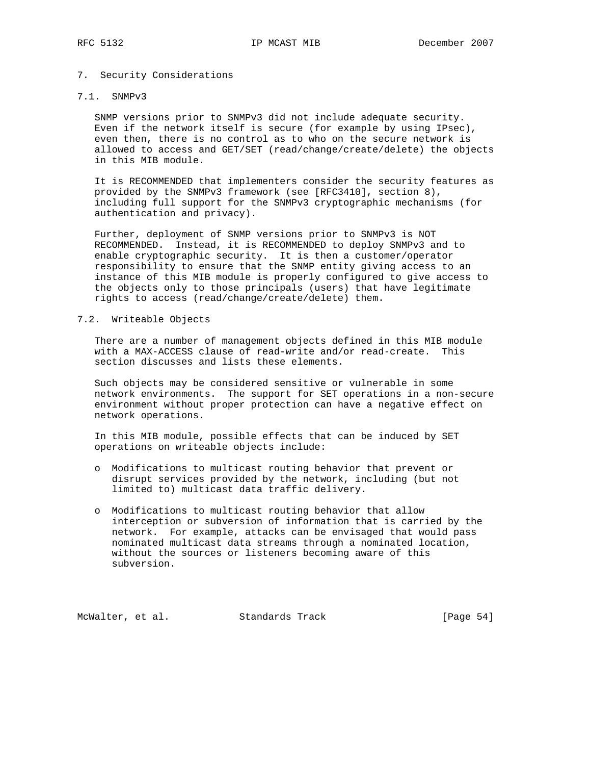## 7. Security Considerations

# 7.1. SNMPv3

 SNMP versions prior to SNMPv3 did not include adequate security. Even if the network itself is secure (for example by using IPsec), even then, there is no control as to who on the secure network is allowed to access and GET/SET (read/change/create/delete) the objects in this MIB module.

 It is RECOMMENDED that implementers consider the security features as provided by the SNMPv3 framework (see [RFC3410], section 8), including full support for the SNMPv3 cryptographic mechanisms (for authentication and privacy).

 Further, deployment of SNMP versions prior to SNMPv3 is NOT RECOMMENDED. Instead, it is RECOMMENDED to deploy SNMPv3 and to enable cryptographic security. It is then a customer/operator responsibility to ensure that the SNMP entity giving access to an instance of this MIB module is properly configured to give access to the objects only to those principals (users) that have legitimate rights to access (read/change/create/delete) them.

## 7.2. Writeable Objects

 There are a number of management objects defined in this MIB module with a MAX-ACCESS clause of read-write and/or read-create. This section discusses and lists these elements.

 Such objects may be considered sensitive or vulnerable in some network environments. The support for SET operations in a non-secure environment without proper protection can have a negative effect on network operations.

 In this MIB module, possible effects that can be induced by SET operations on writeable objects include:

- o Modifications to multicast routing behavior that prevent or disrupt services provided by the network, including (but not limited to) multicast data traffic delivery.
- o Modifications to multicast routing behavior that allow interception or subversion of information that is carried by the network. For example, attacks can be envisaged that would pass nominated multicast data streams through a nominated location, without the sources or listeners becoming aware of this subversion.

McWalter, et al. Standards Track [Page 54]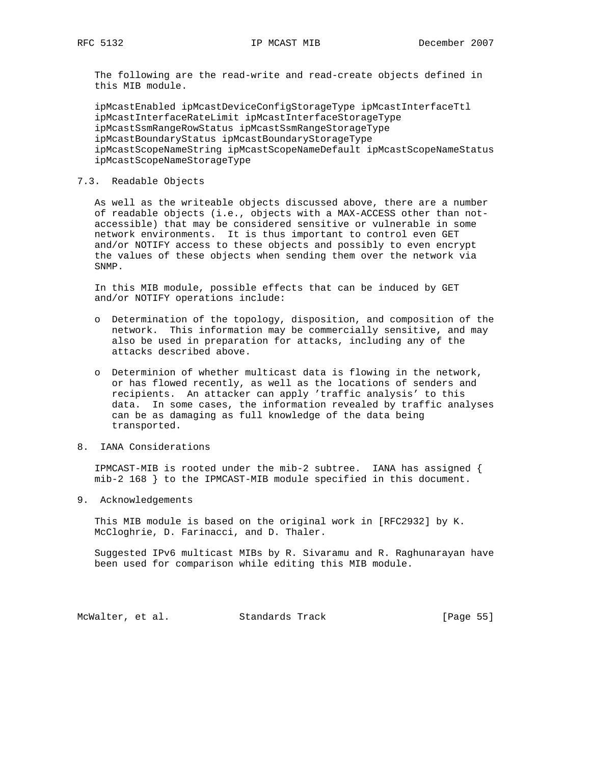The following are the read-write and read-create objects defined in this MIB module.

 ipMcastEnabled ipMcastDeviceConfigStorageType ipMcastInterfaceTtl ipMcastInterfaceRateLimit ipMcastInterfaceStorageType ipMcastSsmRangeRowStatus ipMcastSsmRangeStorageType ipMcastBoundaryStatus ipMcastBoundaryStorageType ipMcastScopeNameString ipMcastScopeNameDefault ipMcastScopeNameStatus ipMcastScopeNameStorageType

## 7.3. Readable Objects

 As well as the writeable objects discussed above, there are a number of readable objects (i.e., objects with a MAX-ACCESS other than not accessible) that may be considered sensitive or vulnerable in some network environments. It is thus important to control even GET and/or NOTIFY access to these objects and possibly to even encrypt the values of these objects when sending them over the network via SNMP.

 In this MIB module, possible effects that can be induced by GET and/or NOTIFY operations include:

- o Determination of the topology, disposition, and composition of the network. This information may be commercially sensitive, and may also be used in preparation for attacks, including any of the attacks described above.
- o Determinion of whether multicast data is flowing in the network, or has flowed recently, as well as the locations of senders and recipients. An attacker can apply 'traffic analysis' to this data. In some cases, the information revealed by traffic analyses can be as damaging as full knowledge of the data being transported.
- 8. IANA Considerations

 IPMCAST-MIB is rooted under the mib-2 subtree. IANA has assigned { mib-2 168 } to the IPMCAST-MIB module specified in this document.

9. Acknowledgements

 This MIB module is based on the original work in [RFC2932] by K. McCloghrie, D. Farinacci, and D. Thaler.

 Suggested IPv6 multicast MIBs by R. Sivaramu and R. Raghunarayan have been used for comparison while editing this MIB module.

McWalter, et al. Standards Track [Page 55]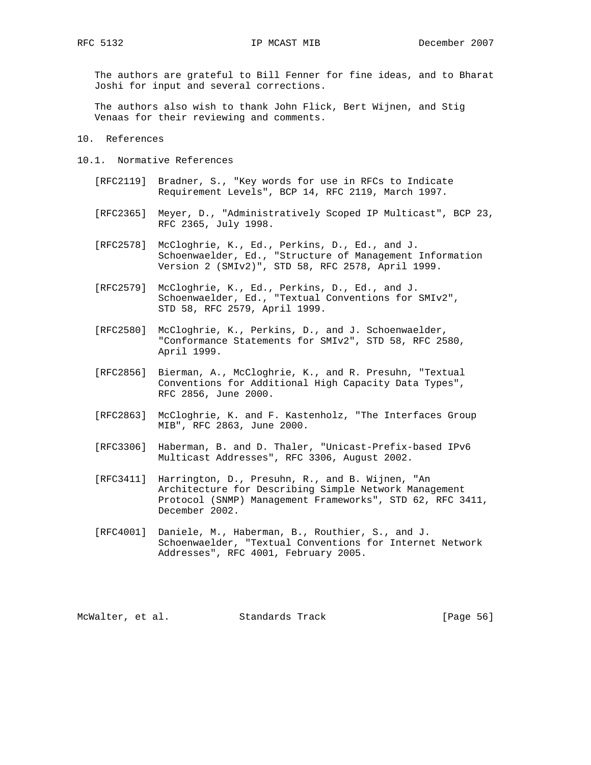The authors are grateful to Bill Fenner for fine ideas, and to Bharat Joshi for input and several corrections.

 The authors also wish to thank John Flick, Bert Wijnen, and Stig Venaas for their reviewing and comments.

10. References

- 10.1. Normative References
	- [RFC2119] Bradner, S., "Key words for use in RFCs to Indicate Requirement Levels", BCP 14, RFC 2119, March 1997.
	- [RFC2365] Meyer, D., "Administratively Scoped IP Multicast", BCP 23, RFC 2365, July 1998.
	- [RFC2578] McCloghrie, K., Ed., Perkins, D., Ed., and J. Schoenwaelder, Ed., "Structure of Management Information Version 2 (SMIv2)", STD 58, RFC 2578, April 1999.
	- [RFC2579] McCloghrie, K., Ed., Perkins, D., Ed., and J. Schoenwaelder, Ed., "Textual Conventions for SMIv2", STD 58, RFC 2579, April 1999.
	- [RFC2580] McCloghrie, K., Perkins, D., and J. Schoenwaelder, "Conformance Statements for SMIv2", STD 58, RFC 2580, April 1999.
	- [RFC2856] Bierman, A., McCloghrie, K., and R. Presuhn, "Textual Conventions for Additional High Capacity Data Types", RFC 2856, June 2000.
	- [RFC2863] McCloghrie, K. and F. Kastenholz, "The Interfaces Group MIB", RFC 2863, June 2000.
	- [RFC3306] Haberman, B. and D. Thaler, "Unicast-Prefix-based IPv6 Multicast Addresses", RFC 3306, August 2002.
	- [RFC3411] Harrington, D., Presuhn, R., and B. Wijnen, "An Architecture for Describing Simple Network Management Protocol (SNMP) Management Frameworks", STD 62, RFC 3411, December 2002.
	- [RFC4001] Daniele, M., Haberman, B., Routhier, S., and J. Schoenwaelder, "Textual Conventions for Internet Network Addresses", RFC 4001, February 2005.

McWalter, et al. Standards Track [Page 56]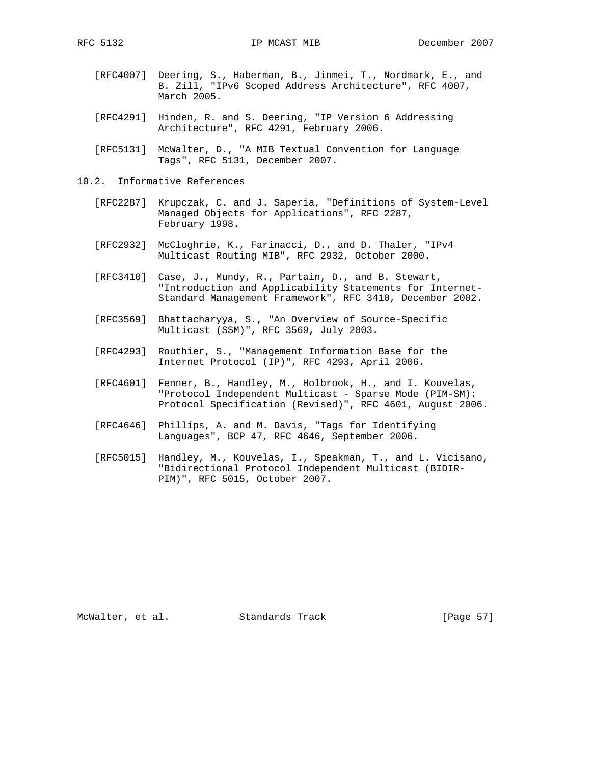- [RFC4007] Deering, S., Haberman, B., Jinmei, T., Nordmark, E., and B. Zill, "IPv6 Scoped Address Architecture", RFC 4007, March 2005.
- [RFC4291] Hinden, R. and S. Deering, "IP Version 6 Addressing Architecture", RFC 4291, February 2006.
- [RFC5131] McWalter, D., "A MIB Textual Convention for Language Tags", RFC 5131, December 2007.
- 10.2. Informative References
	- [RFC2287] Krupczak, C. and J. Saperia, "Definitions of System-Level Managed Objects for Applications", RFC 2287, February 1998.
	- [RFC2932] McCloghrie, K., Farinacci, D., and D. Thaler, "IPv4 Multicast Routing MIB", RFC 2932, October 2000.
	- [RFC3410] Case, J., Mundy, R., Partain, D., and B. Stewart, "Introduction and Applicability Statements for Internet- Standard Management Framework", RFC 3410, December 2002.
	- [RFC3569] Bhattacharyya, S., "An Overview of Source-Specific Multicast (SSM)", RFC 3569, July 2003.
	- [RFC4293] Routhier, S., "Management Information Base for the Internet Protocol (IP)", RFC 4293, April 2006.
	- [RFC4601] Fenner, B., Handley, M., Holbrook, H., and I. Kouvelas, "Protocol Independent Multicast - Sparse Mode (PIM-SM): Protocol Specification (Revised)", RFC 4601, August 2006.
	- [RFC4646] Phillips, A. and M. Davis, "Tags for Identifying Languages", BCP 47, RFC 4646, September 2006.
	- [RFC5015] Handley, M., Kouvelas, I., Speakman, T., and L. Vicisano, "Bidirectional Protocol Independent Multicast (BIDIR- PIM)", RFC 5015, October 2007.

McWalter, et al. Standards Track [Page 57]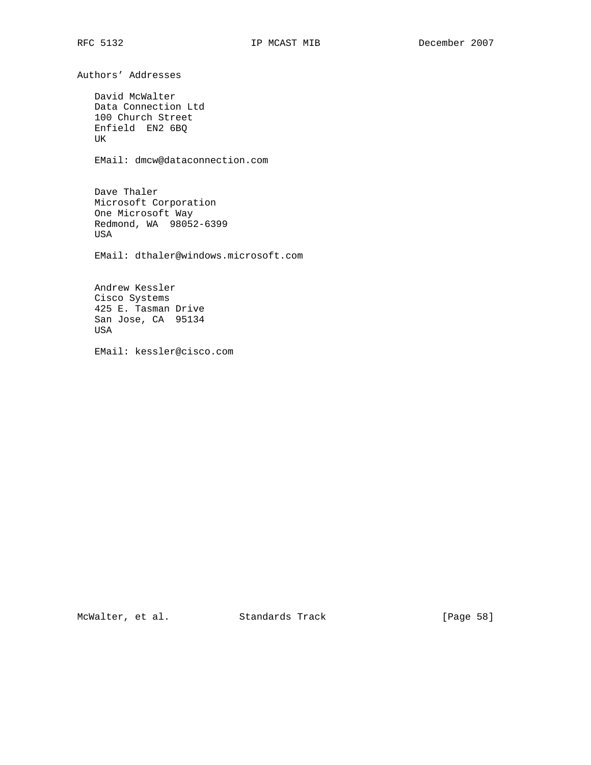Authors' Addresses David McWalter Data Connection Ltd 100 Church Street Enfield EN2 6BQ UK EMail: dmcw@dataconnection.com Dave Thaler Microsoft Corporation One Microsoft Way Redmond, WA 98052-6399 USA EMail: dthaler@windows.microsoft.com Andrew Kessler Cisco Systems 425 E. Tasman Drive San Jose, CA 95134 USA EMail: kessler@cisco.com

McWalter, et al. Standards Track [Page 58]